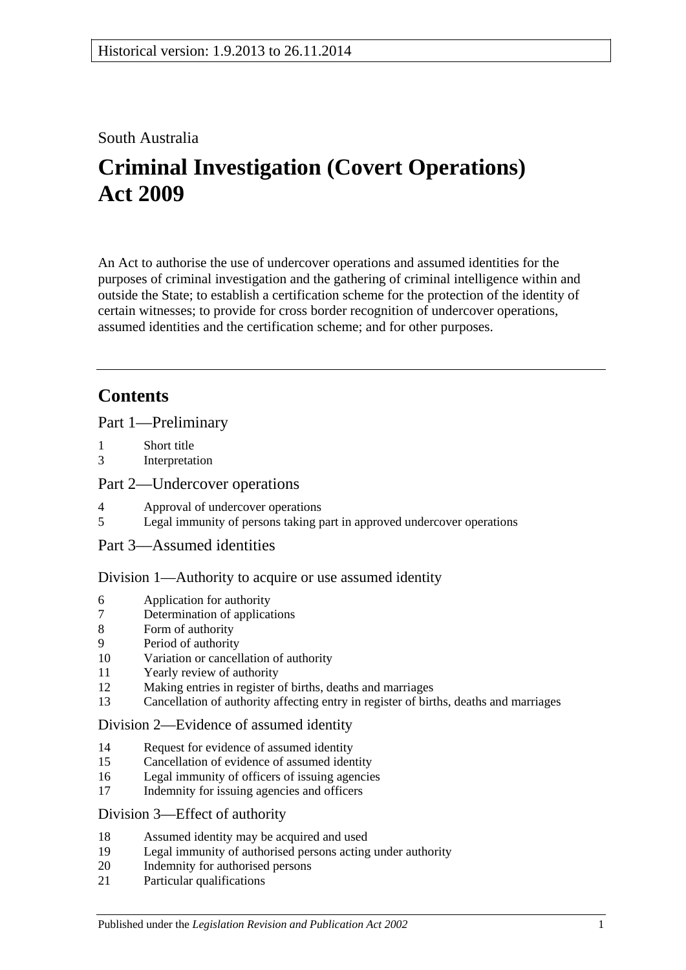## South Australia

# **Criminal Investigation (Covert Operations) Act 2009**

An Act to authorise the use of undercover operations and assumed identities for the purposes of criminal investigation and the gathering of criminal intelligence within and outside the State; to establish a certification scheme for the protection of the identity of certain witnesses; to provide for cross border recognition of undercover operations, assumed identities and the certification scheme; and for other purposes.

# **Contents**

[Part 1—Preliminary](#page-2-0)

- 1 [Short title](#page-2-1)
- 3 [Interpretation](#page-2-2)

## [Part 2—Undercover operations](#page-6-0)

- 4 [Approval of undercover operations](#page-6-1)
- 5 [Legal immunity of persons taking part in approved undercover operations](#page-7-0)
- [Part 3—Assumed identities](#page-8-0)

## [Division 1—Authority to acquire or use assumed identity](#page-8-1)

- 6 [Application for authority](#page-8-2)
- 7 [Determination of applications](#page-8-3)
- 8 [Form of authority](#page-9-0)
- 9 [Period of authority](#page-10-0)
- 10 [Variation or cancellation of authority](#page-10-1)
- 11 [Yearly review of authority](#page-10-2)
- 12 [Making entries in register of births, deaths and marriages](#page-11-0)
- 13 [Cancellation of authority affecting entry in register of births, deaths and marriages](#page-11-1)

#### [Division 2—Evidence of assumed identity](#page-12-0)

- 14 [Request for evidence of assumed identity](#page-12-1)
- 15 [Cancellation of evidence of assumed identity](#page-12-2)
- 16 [Legal immunity of officers of issuing agencies](#page-12-3)
- 17 [Indemnity for issuing agencies and officers](#page-13-0)

## [Division 3—Effect of authority](#page-13-1)

- 18 [Assumed identity may be acquired and used](#page-13-2)
- 19 [Legal immunity of authorised persons acting under authority](#page-13-3)
- 20 [Indemnity for authorised persons](#page-13-4)
- 21 [Particular qualifications](#page-14-0)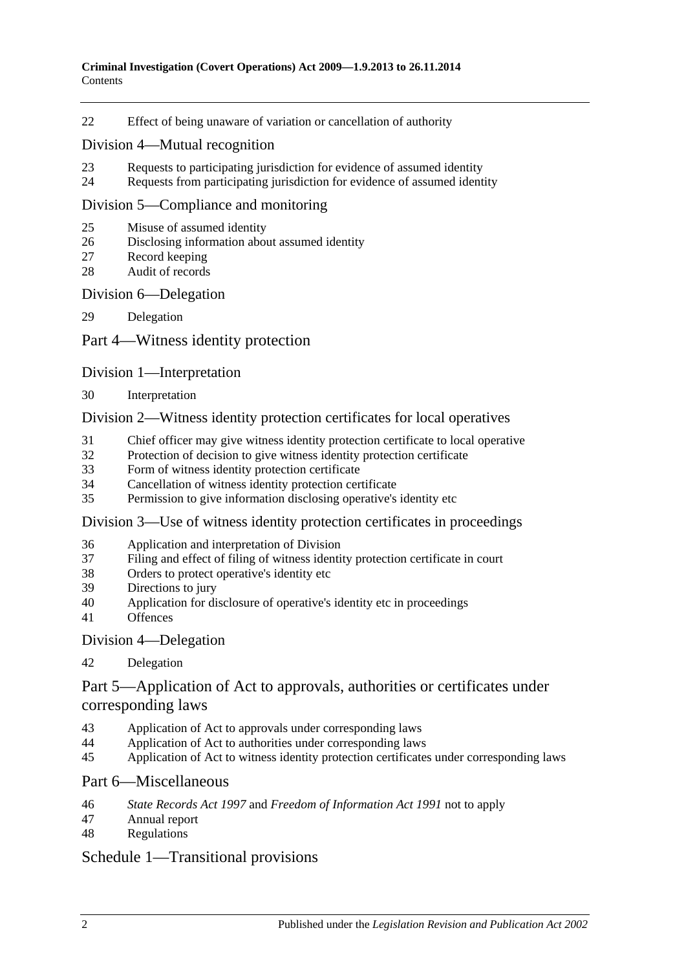[Effect of being unaware of variation or cancellation of authority](#page-14-1)

#### [Division 4—Mutual recognition](#page-14-2)

- [Requests to participating jurisdiction for evidence of assumed identity](#page-14-3)
- [Requests from participating jurisdiction for evidence of assumed identity](#page-15-0)

#### [Division 5—Compliance and monitoring](#page-15-1)

- [Misuse of assumed identity](#page-15-2)
- [Disclosing information about assumed identity](#page-16-0)
- [Record keeping](#page-16-1)
- [Audit of records](#page-17-0)

#### [Division 6—Delegation](#page-17-1)

[Delegation](#page-17-2)

#### [Part 4—Witness identity protection](#page-18-0)

#### [Division 1—Interpretation](#page-18-1)

[Interpretation](#page-18-2)

#### [Division 2—Witness identity protection certificates for local operatives](#page-18-3)

- [Chief officer may give witness identity protection certificate to local operative](#page-18-4)
- [Protection of decision to give witness identity protection certificate](#page-19-0)
- [Form of witness identity protection certificate](#page-20-0)
- [Cancellation of witness identity protection certificate](#page-20-1)
- [Permission to give information disclosing operative's identity etc](#page-21-0)

#### [Division 3—Use of witness identity protection certificates in proceedings](#page-21-1)

- [Application and interpretation of Division](#page-21-2)
- [Filing and effect of filing of witness identity protection certificate in court](#page-21-3)
- [Orders to protect operative's identity etc](#page-23-0)
- [Directions to jury](#page-23-1)
- [Application for disclosure of operative's identity etc in proceedings](#page-23-2)
- [Offences](#page-24-0)

#### [Division 4—Delegation](#page-25-0)

#### [Delegation](#page-25-1)

## [Part 5—Application of Act to approvals, authorities or certificates under](#page-26-0)  [corresponding laws](#page-26-0)

- [Application of Act to approvals under corresponding laws](#page-26-1)
- [Application of Act to authorities under corresponding laws](#page-26-2)
- [Application of Act to witness identity protection certificates under corresponding laws](#page-26-3)

#### [Part 6—Miscellaneous](#page-26-4)

- *State Records Act 1997* and *[Freedom of Information Act](#page-26-5) 1991* not to apply
- [Annual report](#page-27-0)
- [Regulations](#page-28-0)

## [Schedule 1—Transitional provisions](#page-28-1)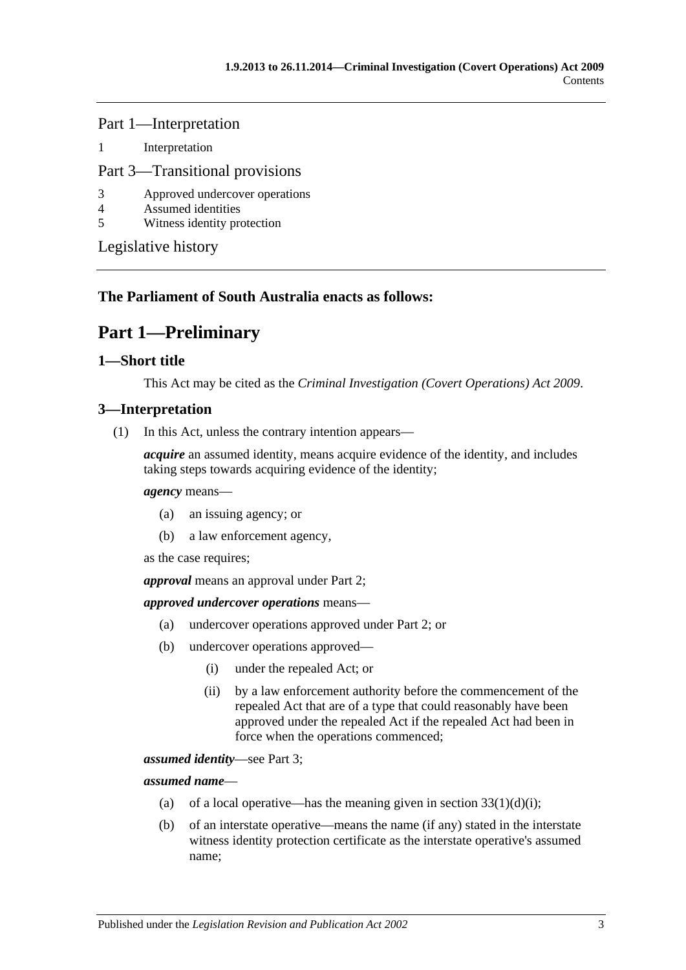Part 1—Interpretation

1 [Interpretation](#page-28-2)

### Part 3—Transitional provisions

- 3 [Approved undercover operations](#page-28-3)
- 4 [Assumed identities](#page-28-4)
- 5 [Witness identity protection](#page-29-0)

[Legislative history](#page-30-0)

## <span id="page-2-0"></span>**The Parliament of South Australia enacts as follows:**

# **Part 1—Preliminary**

#### <span id="page-2-1"></span>**1—Short title**

This Act may be cited as the *Criminal Investigation (Covert Operations) Act 2009*.

## <span id="page-2-2"></span>**3—Interpretation**

(1) In this Act, unless the contrary intention appears—

*acquire* an assumed identity, means acquire evidence of the identity, and includes taking steps towards acquiring evidence of the identity;

#### *agency* means—

- (a) an issuing agency; or
- (b) a law enforcement agency,

as the case requires;

*approval* means an approval under [Part 2;](#page-6-0)

#### *approved undercover operations* means—

- (a) undercover operations approved under [Part 2;](#page-6-0) or
- (b) undercover operations approved—
	- (i) under the repealed Act; or
	- (ii) by a law enforcement authority before the commencement of the repealed Act that are of a type that could reasonably have been approved under the repealed Act if the repealed Act had been in force when the operations commenced;

*assumed identity*—see [Part 3;](#page-8-0)

*assumed name*—

- (a) of a local operative—has the meaning given in section  $33(1)(d)(i)$ ;
- (b) of an interstate operative—means the name (if any) stated in the interstate witness identity protection certificate as the interstate operative's assumed name;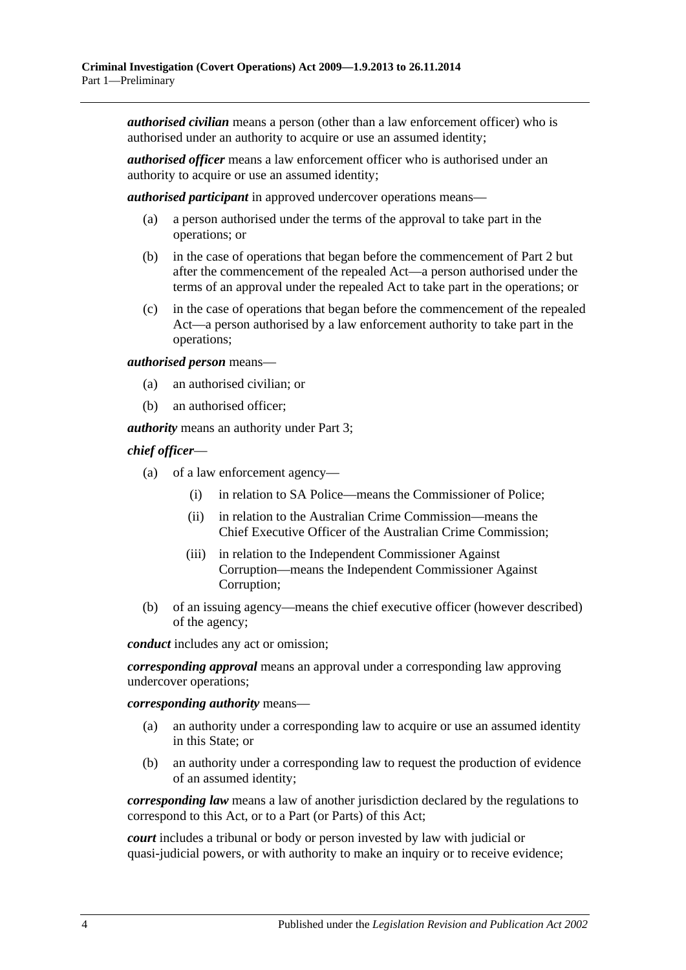*authorised civilian* means a person (other than a law enforcement officer) who is authorised under an authority to acquire or use an assumed identity;

*authorised officer* means a law enforcement officer who is authorised under an authority to acquire or use an assumed identity;

*authorised participant* in approved undercover operations means—

- (a) a person authorised under the terms of the approval to take part in the operations; or
- (b) in the case of operations that began before the commencement of [Part 2](#page-6-0) but after the commencement of the repealed Act—a person authorised under the terms of an approval under the repealed Act to take part in the operations; or
- (c) in the case of operations that began before the commencement of the repealed Act—a person authorised by a law enforcement authority to take part in the operations;

*authorised person* means—

- (a) an authorised civilian; or
- (b) an authorised officer;

*authority* means an authority under [Part 3;](#page-8-0)

#### *chief officer*—

- (a) of a law enforcement agency—
	- (i) in relation to SA Police—means the Commissioner of Police;
	- (ii) in relation to the Australian Crime Commission—means the Chief Executive Officer of the Australian Crime Commission;
	- (iii) in relation to the Independent Commissioner Against Corruption—means the Independent Commissioner Against Corruption;
- (b) of an issuing agency—means the chief executive officer (however described) of the agency;

*conduct* includes any act or omission;

*corresponding approval* means an approval under a corresponding law approving undercover operations;

*corresponding authority* means—

- (a) an authority under a corresponding law to acquire or use an assumed identity in this State; or
- (b) an authority under a corresponding law to request the production of evidence of an assumed identity;

*corresponding law* means a law of another jurisdiction declared by the regulations to correspond to this Act, or to a Part (or Parts) of this Act;

*court* includes a tribunal or body or person invested by law with judicial or quasi-judicial powers, or with authority to make an inquiry or to receive evidence;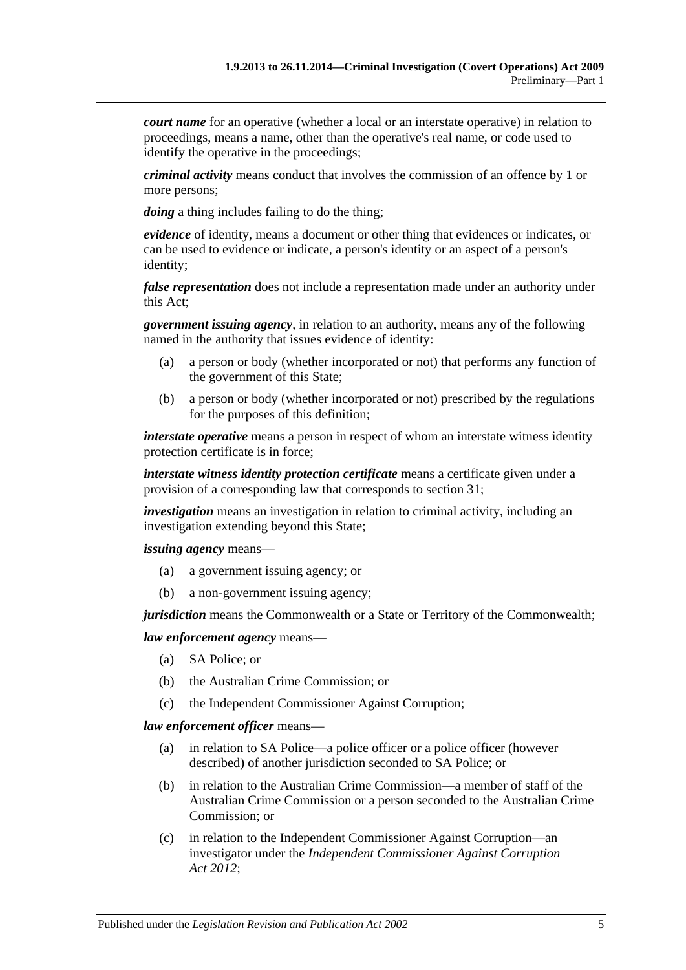*court name* for an operative (whether a local or an interstate operative) in relation to proceedings, means a name, other than the operative's real name, or code used to identify the operative in the proceedings;

*criminal activity* means conduct that involves the commission of an offence by 1 or more persons;

*doing* a thing includes failing to do the thing;

*evidence* of identity, means a document or other thing that evidences or indicates, or can be used to evidence or indicate, a person's identity or an aspect of a person's identity;

*false representation* does not include a representation made under an authority under this Act;

*government issuing agency*, in relation to an authority, means any of the following named in the authority that issues evidence of identity:

- (a) a person or body (whether incorporated or not) that performs any function of the government of this State;
- (b) a person or body (whether incorporated or not) prescribed by the regulations for the purposes of this definition;

*interstate operative* means a person in respect of whom an interstate witness identity protection certificate is in force;

*interstate witness identity protection certificate* means a certificate given under a provision of a corresponding law that corresponds to [section](#page-18-4) 31;

*investigation* means an investigation in relation to criminal activity, including an investigation extending beyond this State;

*issuing agency* means—

- (a) a government issuing agency; or
- (b) a non-government issuing agency;

*jurisdiction* means the Commonwealth or a State or Territory of the Commonwealth;

#### *law enforcement agency* means—

- (a) SA Police; or
- (b) the Australian Crime Commission; or
- (c) the Independent Commissioner Against Corruption;

#### *law enforcement officer* means—

- (a) in relation to SA Police—a police officer or a police officer (however described) of another jurisdiction seconded to SA Police; or
- (b) in relation to the Australian Crime Commission—a member of staff of the Australian Crime Commission or a person seconded to the Australian Crime Commission; or
- (c) in relation to the Independent Commissioner Against Corruption—an investigator under the *[Independent Commissioner Against Corruption](http://www.legislation.sa.gov.au/index.aspx?action=legref&type=act&legtitle=Independent%20Commissioner%20Against%20Corruption%20Act%202012)  Act [2012](http://www.legislation.sa.gov.au/index.aspx?action=legref&type=act&legtitle=Independent%20Commissioner%20Against%20Corruption%20Act%202012)*;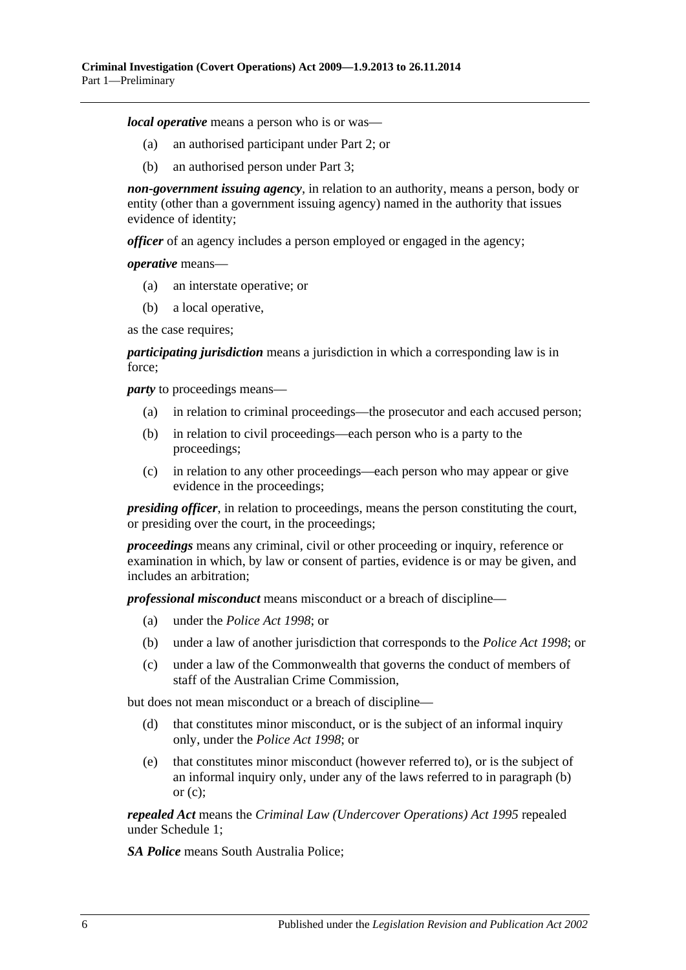*local operative* means a person who is or was—

- (a) an authorised participant under [Part 2;](#page-6-0) or
- (b) an authorised person under [Part 3;](#page-8-0)

*non-government issuing agency*, in relation to an authority, means a person, body or entity (other than a government issuing agency) named in the authority that issues evidence of identity;

*officer* of an agency includes a person employed or engaged in the agency;

*operative* means—

- (a) an interstate operative; or
- (b) a local operative,

as the case requires;

*participating jurisdiction* means a jurisdiction in which a corresponding law is in force;

<span id="page-5-0"></span>*party* to proceedings means—

- (a) in relation to criminal proceedings—the prosecutor and each accused person;
- (b) in relation to civil proceedings—each person who is a party to the proceedings;
- <span id="page-5-1"></span>(c) in relation to any other proceedings—each person who may appear or give evidence in the proceedings;

*presiding officer*, in relation to proceedings, means the person constituting the court, or presiding over the court, in the proceedings;

*proceedings* means any criminal, civil or other proceeding or inquiry, reference or examination in which, by law or consent of parties, evidence is or may be given, and includes an arbitration;

*professional misconduct* means misconduct or a breach of discipline—

- (a) under the *[Police Act](http://www.legislation.sa.gov.au/index.aspx?action=legref&type=act&legtitle=Police%20Act%201998) 1998*; or
- (b) under a law of another jurisdiction that corresponds to the *[Police Act](http://www.legislation.sa.gov.au/index.aspx?action=legref&type=act&legtitle=Police%20Act%201998) 1998*; or
- (c) under a law of the Commonwealth that governs the conduct of members of staff of the Australian Crime Commission,

but does not mean misconduct or a breach of discipline—

- (d) that constitutes minor misconduct, or is the subject of an informal inquiry only, under the *[Police Act](http://www.legislation.sa.gov.au/index.aspx?action=legref&type=act&legtitle=Police%20Act%201998) 1998*; or
- (e) that constitutes minor misconduct (however referred to), or is the subject of an informal inquiry only, under any of the laws referred to in [paragraph](#page-5-0) (b) or  $(c)$ :

*repealed Act* means the *Criminal [Law \(Undercover Operations\) Act](http://www.legislation.sa.gov.au/index.aspx?action=legref&type=act&legtitle=Criminal%20Law%20(Undercover%20Operations)%20Act%201995) 1995* repealed under [Schedule 1;](#page-28-1)

*SA Police* means South Australia Police;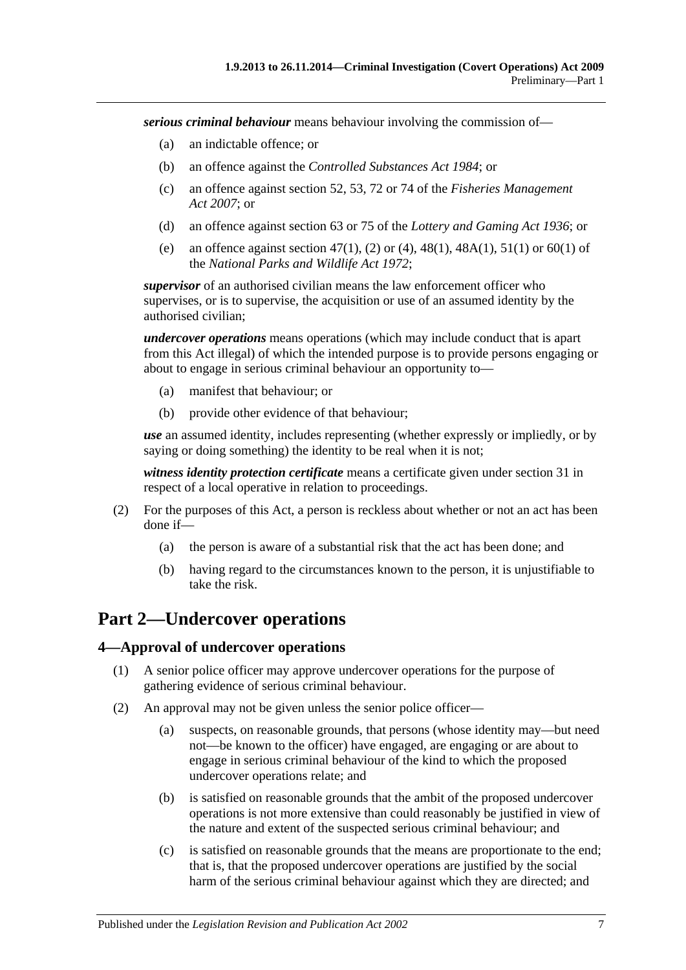*serious criminal behaviour* means behaviour involving the commission of—

- (a) an indictable offence; or
- (b) an offence against the *[Controlled Substances Act](http://www.legislation.sa.gov.au/index.aspx?action=legref&type=act&legtitle=Controlled%20Substances%20Act%201984) 1984*; or
- (c) an offence against section 52, 53, 72 or 74 of the *[Fisheries Management](http://www.legislation.sa.gov.au/index.aspx?action=legref&type=act&legtitle=Fisheries%20Management%20Act%202007)  Act [2007](http://www.legislation.sa.gov.au/index.aspx?action=legref&type=act&legtitle=Fisheries%20Management%20Act%202007)*; or
- (d) an offence against section 63 or 75 of the *[Lottery and Gaming Act](http://www.legislation.sa.gov.au/index.aspx?action=legref&type=act&legtitle=Lottery%20and%20Gaming%20Act%201936) 1936*; or
- (e) an offence against section 47(1), (2) or (4), 48(1), 48A(1), 51(1) or 60(1) of the *[National Parks and Wildlife Act](http://www.legislation.sa.gov.au/index.aspx?action=legref&type=act&legtitle=National%20Parks%20and%20Wildlife%20Act%201972) 1972*;

*supervisor* of an authorised civilian means the law enforcement officer who supervises, or is to supervise, the acquisition or use of an assumed identity by the authorised civilian;

*undercover operations* means operations (which may include conduct that is apart from this Act illegal) of which the intended purpose is to provide persons engaging or about to engage in serious criminal behaviour an opportunity to—

- (a) manifest that behaviour; or
- (b) provide other evidence of that behaviour;

*use* an assumed identity, includes representing (whether expressly or impliedly, or by saying or doing something) the identity to be real when it is not;

*witness identity protection certificate* means a certificate given under [section](#page-18-4) 31 in respect of a local operative in relation to proceedings.

- (2) For the purposes of this Act, a person is reckless about whether or not an act has been done if—
	- (a) the person is aware of a substantial risk that the act has been done; and
	- (b) having regard to the circumstances known to the person, it is unjustifiable to take the risk.

# <span id="page-6-0"></span>**Part 2—Undercover operations**

#### <span id="page-6-1"></span>**4—Approval of undercover operations**

- (1) A senior police officer may approve undercover operations for the purpose of gathering evidence of serious criminal behaviour.
- (2) An approval may not be given unless the senior police officer—
	- (a) suspects, on reasonable grounds, that persons (whose identity may—but need not—be known to the officer) have engaged, are engaging or are about to engage in serious criminal behaviour of the kind to which the proposed undercover operations relate; and
	- (b) is satisfied on reasonable grounds that the ambit of the proposed undercover operations is not more extensive than could reasonably be justified in view of the nature and extent of the suspected serious criminal behaviour; and
	- (c) is satisfied on reasonable grounds that the means are proportionate to the end; that is, that the proposed undercover operations are justified by the social harm of the serious criminal behaviour against which they are directed; and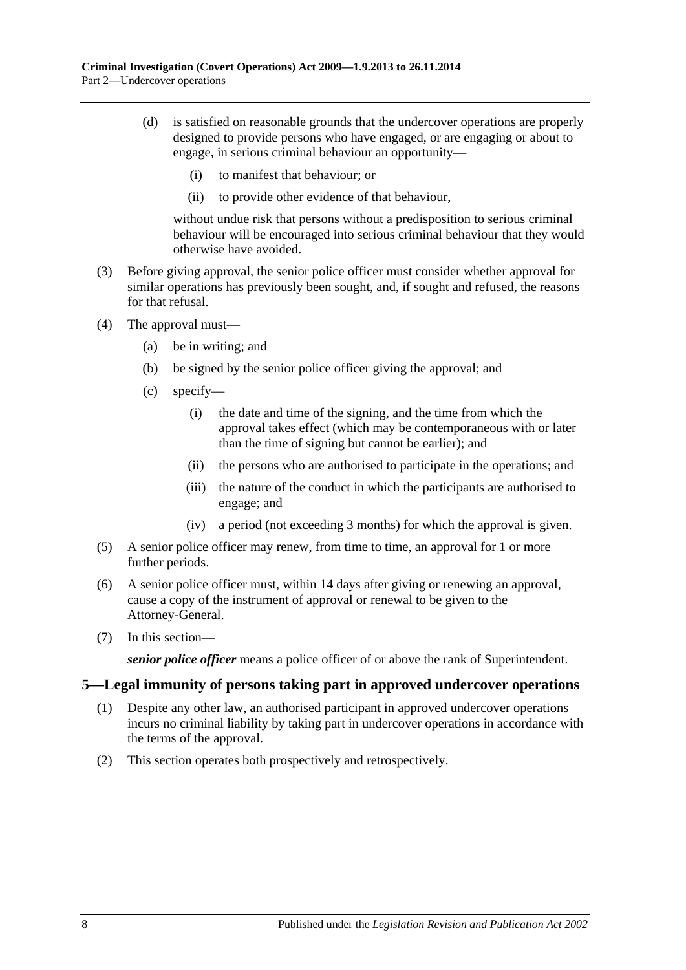- (d) is satisfied on reasonable grounds that the undercover operations are properly designed to provide persons who have engaged, or are engaging or about to engage, in serious criminal behaviour an opportunity—
	- (i) to manifest that behaviour; or
	- (ii) to provide other evidence of that behaviour,

without undue risk that persons without a predisposition to serious criminal behaviour will be encouraged into serious criminal behaviour that they would otherwise have avoided.

- (3) Before giving approval, the senior police officer must consider whether approval for similar operations has previously been sought, and, if sought and refused, the reasons for that refusal.
- (4) The approval must—
	- (a) be in writing; and
	- (b) be signed by the senior police officer giving the approval; and
	- (c) specify—
		- (i) the date and time of the signing, and the time from which the approval takes effect (which may be contemporaneous with or later than the time of signing but cannot be earlier); and
		- (ii) the persons who are authorised to participate in the operations; and
		- (iii) the nature of the conduct in which the participants are authorised to engage; and
		- (iv) a period (not exceeding 3 months) for which the approval is given.
- (5) A senior police officer may renew, from time to time, an approval for 1 or more further periods.
- (6) A senior police officer must, within 14 days after giving or renewing an approval, cause a copy of the instrument of approval or renewal to be given to the Attorney-General.
- (7) In this section—

*senior police officer* means a police officer of or above the rank of Superintendent.

#### <span id="page-7-0"></span>**5—Legal immunity of persons taking part in approved undercover operations**

- (1) Despite any other law, an authorised participant in approved undercover operations incurs no criminal liability by taking part in undercover operations in accordance with the terms of the approval.
- (2) This section operates both prospectively and retrospectively.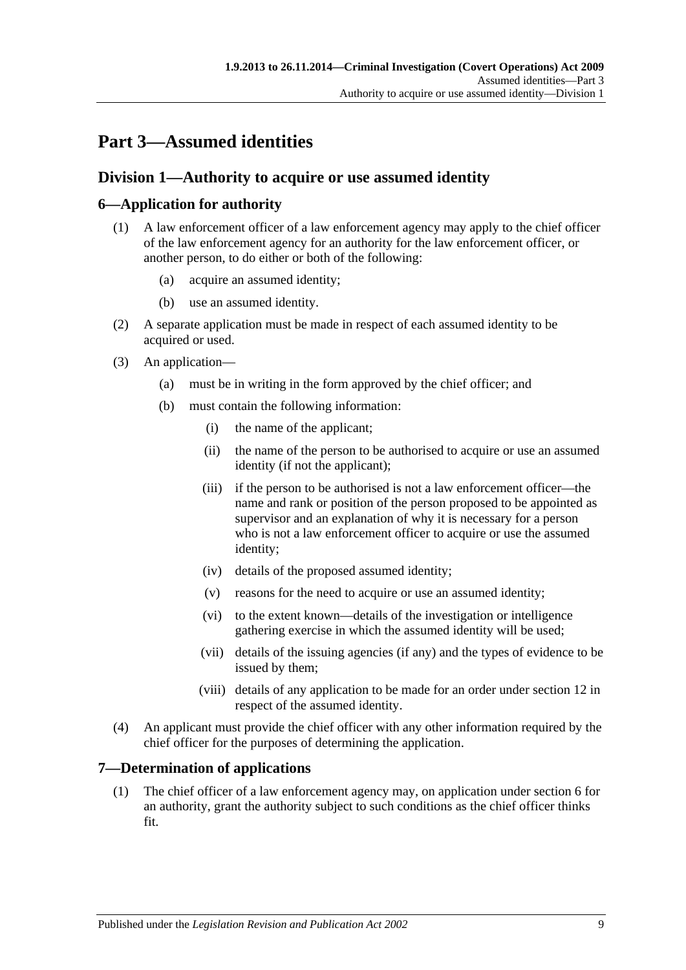# <span id="page-8-0"></span>**Part 3—Assumed identities**

## <span id="page-8-1"></span>**Division 1—Authority to acquire or use assumed identity**

## <span id="page-8-2"></span>**6—Application for authority**

- (1) A law enforcement officer of a law enforcement agency may apply to the chief officer of the law enforcement agency for an authority for the law enforcement officer, or another person, to do either or both of the following:
	- (a) acquire an assumed identity;
	- (b) use an assumed identity.
- (2) A separate application must be made in respect of each assumed identity to be acquired or used.
- (3) An application—
	- (a) must be in writing in the form approved by the chief officer; and
	- (b) must contain the following information:
		- (i) the name of the applicant;
		- (ii) the name of the person to be authorised to acquire or use an assumed identity (if not the applicant);
		- (iii) if the person to be authorised is not a law enforcement officer—the name and rank or position of the person proposed to be appointed as supervisor and an explanation of why it is necessary for a person who is not a law enforcement officer to acquire or use the assumed identity;
		- (iv) details of the proposed assumed identity;
		- (v) reasons for the need to acquire or use an assumed identity;
		- (vi) to the extent known—details of the investigation or intelligence gathering exercise in which the assumed identity will be used;
		- (vii) details of the issuing agencies (if any) and the types of evidence to be issued by them;
		- (viii) details of any application to be made for an order under [section](#page-11-0) 12 in respect of the assumed identity.
- (4) An applicant must provide the chief officer with any other information required by the chief officer for the purposes of determining the application.

## <span id="page-8-3"></span>**7—Determination of applications**

(1) The chief officer of a law enforcement agency may, on application under [section](#page-8-2) 6 for an authority, grant the authority subject to such conditions as the chief officer thinks fit.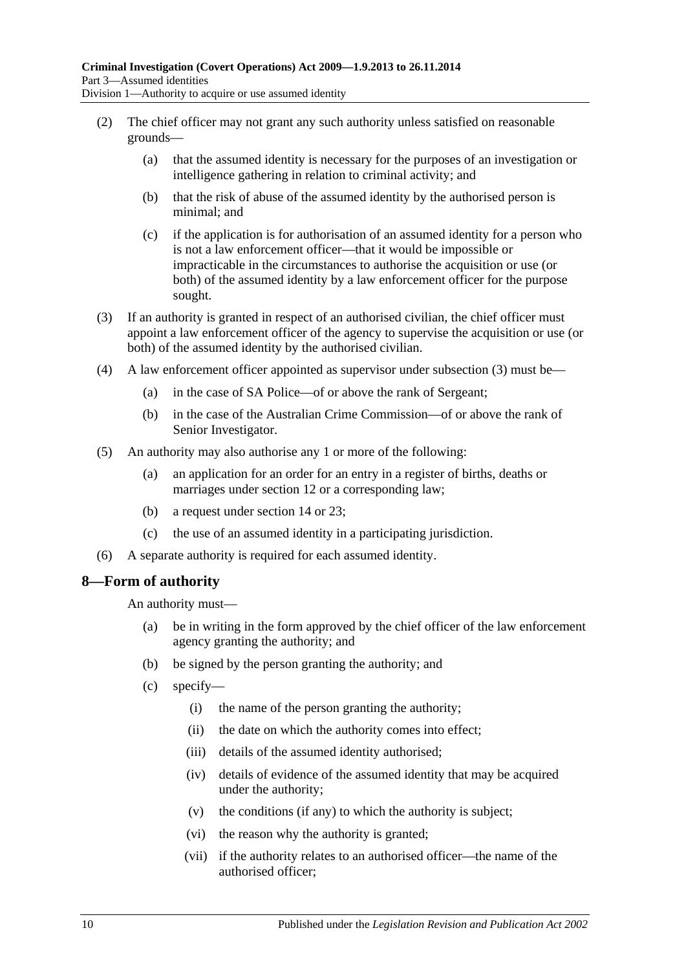- (2) The chief officer may not grant any such authority unless satisfied on reasonable grounds—
	- (a) that the assumed identity is necessary for the purposes of an investigation or intelligence gathering in relation to criminal activity; and
	- (b) that the risk of abuse of the assumed identity by the authorised person is minimal; and
	- (c) if the application is for authorisation of an assumed identity for a person who is not a law enforcement officer—that it would be impossible or impracticable in the circumstances to authorise the acquisition or use (or both) of the assumed identity by a law enforcement officer for the purpose sought.
- <span id="page-9-1"></span>(3) If an authority is granted in respect of an authorised civilian, the chief officer must appoint a law enforcement officer of the agency to supervise the acquisition or use (or both) of the assumed identity by the authorised civilian.
- (4) A law enforcement officer appointed as supervisor under [subsection](#page-9-1) (3) must be—
	- (a) in the case of SA Police—of or above the rank of Sergeant;
	- (b) in the case of the Australian Crime Commission—of or above the rank of Senior Investigator.
- (5) An authority may also authorise any 1 or more of the following:
	- (a) an application for an order for an entry in a register of births, deaths or marriages under [section](#page-11-0) 12 or a corresponding law;
	- (b) a request under [section](#page-12-1) 14 or [23;](#page-14-3)
	- (c) the use of an assumed identity in a participating jurisdiction.
- (6) A separate authority is required for each assumed identity.

## <span id="page-9-0"></span>**8—Form of authority**

An authority must—

- (a) be in writing in the form approved by the chief officer of the law enforcement agency granting the authority; and
- (b) be signed by the person granting the authority; and
- (c) specify—
	- (i) the name of the person granting the authority;
	- (ii) the date on which the authority comes into effect;
	- (iii) details of the assumed identity authorised;
	- (iv) details of evidence of the assumed identity that may be acquired under the authority;
	- (v) the conditions (if any) to which the authority is subject;
	- (vi) the reason why the authority is granted;
	- (vii) if the authority relates to an authorised officer—the name of the authorised officer;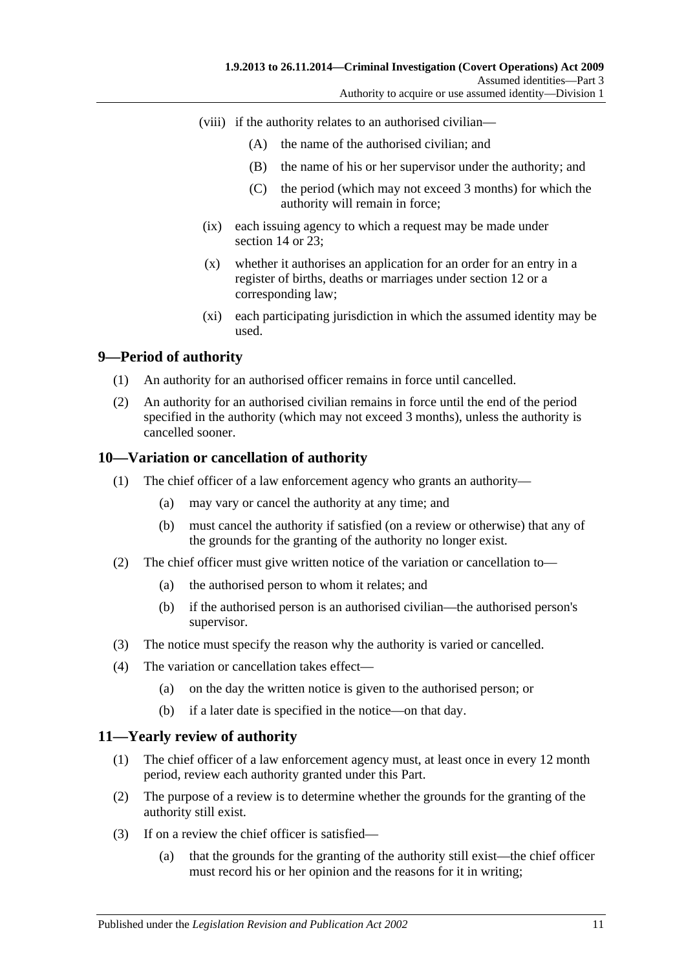- (viii) if the authority relates to an authorised civilian—
	- (A) the name of the authorised civilian; and
	- (B) the name of his or her supervisor under the authority; and
	- (C) the period (which may not exceed 3 months) for which the authority will remain in force;
- (ix) each issuing agency to which a request may be made under [section](#page-12-1) 14 or [23;](#page-14-3)
- (x) whether it authorises an application for an order for an entry in a register of births, deaths or marriages under [section](#page-11-0) 12 or a corresponding law;
- (xi) each participating jurisdiction in which the assumed identity may be used.

## <span id="page-10-0"></span>**9—Period of authority**

- (1) An authority for an authorised officer remains in force until cancelled.
- (2) An authority for an authorised civilian remains in force until the end of the period specified in the authority (which may not exceed 3 months), unless the authority is cancelled sooner.

## <span id="page-10-1"></span>**10—Variation or cancellation of authority**

- (1) The chief officer of a law enforcement agency who grants an authority—
	- (a) may vary or cancel the authority at any time; and
	- (b) must cancel the authority if satisfied (on a review or otherwise) that any of the grounds for the granting of the authority no longer exist.
- (2) The chief officer must give written notice of the variation or cancellation to—
	- (a) the authorised person to whom it relates; and
	- (b) if the authorised person is an authorised civilian—the authorised person's supervisor.
- (3) The notice must specify the reason why the authority is varied or cancelled.
- (4) The variation or cancellation takes effect—
	- (a) on the day the written notice is given to the authorised person; or
	- (b) if a later date is specified in the notice—on that day.

## <span id="page-10-2"></span>**11—Yearly review of authority**

- (1) The chief officer of a law enforcement agency must, at least once in every 12 month period, review each authority granted under this Part.
- (2) The purpose of a review is to determine whether the grounds for the granting of the authority still exist.
- (3) If on a review the chief officer is satisfied—
	- (a) that the grounds for the granting of the authority still exist—the chief officer must record his or her opinion and the reasons for it in writing;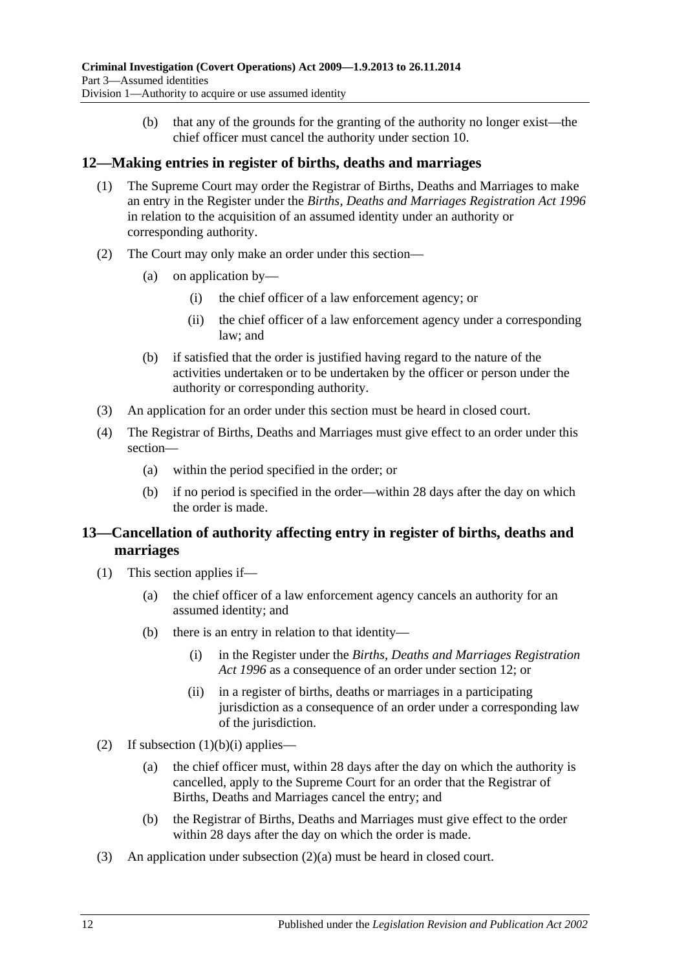(b) that any of the grounds for the granting of the authority no longer exist—the chief officer must cancel the authority under [section](#page-10-1) 10.

## <span id="page-11-0"></span>**12—Making entries in register of births, deaths and marriages**

- (1) The Supreme Court may order the Registrar of Births, Deaths and Marriages to make an entry in the Register under the *[Births, Deaths and Marriages Registration Act](http://www.legislation.sa.gov.au/index.aspx?action=legref&type=act&legtitle=Births%20Deaths%20and%20Marriages%20Registration%20Act%201996) 1996* in relation to the acquisition of an assumed identity under an authority or corresponding authority.
- (2) The Court may only make an order under this section—
	- (a) on application by—
		- (i) the chief officer of a law enforcement agency; or
		- (ii) the chief officer of a law enforcement agency under a corresponding law; and
	- (b) if satisfied that the order is justified having regard to the nature of the activities undertaken or to be undertaken by the officer or person under the authority or corresponding authority.
- (3) An application for an order under this section must be heard in closed court.
- (4) The Registrar of Births, Deaths and Marriages must give effect to an order under this section—
	- (a) within the period specified in the order; or
	- (b) if no period is specified in the order—within 28 days after the day on which the order is made.

## <span id="page-11-1"></span>**13—Cancellation of authority affecting entry in register of births, deaths and marriages**

- <span id="page-11-2"></span>(1) This section applies if—
	- (a) the chief officer of a law enforcement agency cancels an authority for an assumed identity; and
	- (b) there is an entry in relation to that identity—
		- (i) in the Register under the *[Births, Deaths and Marriages Registration](http://www.legislation.sa.gov.au/index.aspx?action=legref&type=act&legtitle=Births%20Deaths%20and%20Marriages%20Registration%20Act%201996)  Act [1996](http://www.legislation.sa.gov.au/index.aspx?action=legref&type=act&legtitle=Births%20Deaths%20and%20Marriages%20Registration%20Act%201996)* as a consequence of an order under [section](#page-11-0) 12; or
		- (ii) in a register of births, deaths or marriages in a participating jurisdiction as a consequence of an order under a corresponding law of the jurisdiction.
- <span id="page-11-4"></span><span id="page-11-3"></span>(2) If [subsection](#page-11-2)  $(1)(b)(i)$  applies—
	- (a) the chief officer must, within 28 days after the day on which the authority is cancelled, apply to the Supreme Court for an order that the Registrar of Births, Deaths and Marriages cancel the entry; and
	- (b) the Registrar of Births, Deaths and Marriages must give effect to the order within 28 days after the day on which the order is made.
- (3) An application under [subsection](#page-11-3) (2)(a) must be heard in closed court.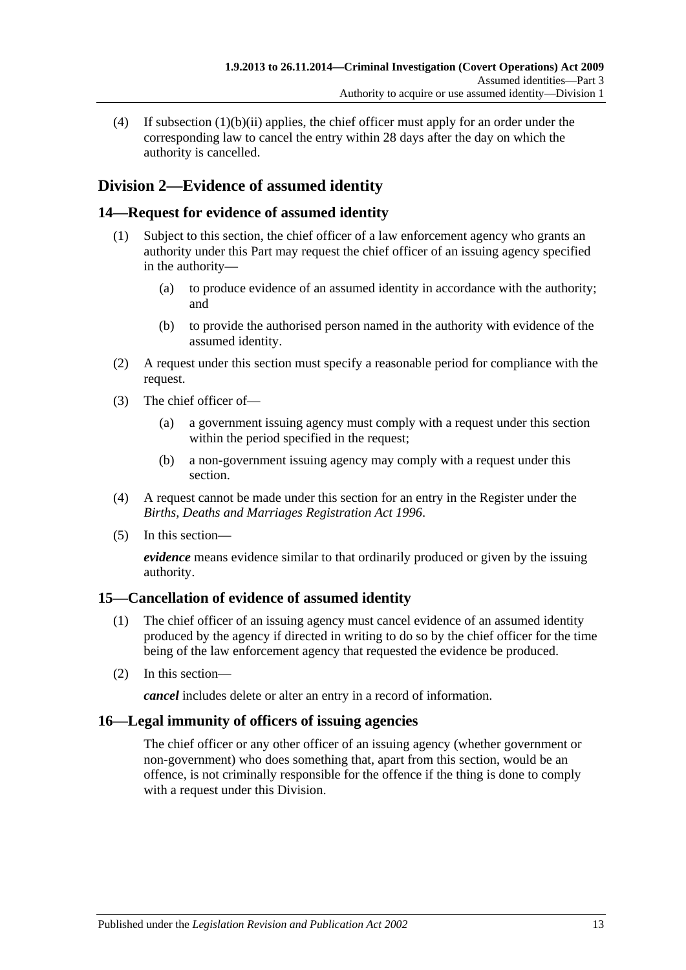(4) If [subsection](#page-11-4) (1)(b)(ii) applies, the chief officer must apply for an order under the corresponding law to cancel the entry within 28 days after the day on which the authority is cancelled.

## <span id="page-12-0"></span>**Division 2—Evidence of assumed identity**

## <span id="page-12-1"></span>**14—Request for evidence of assumed identity**

- (1) Subject to this section, the chief officer of a law enforcement agency who grants an authority under this Part may request the chief officer of an issuing agency specified in the authority—
	- (a) to produce evidence of an assumed identity in accordance with the authority; and
	- (b) to provide the authorised person named in the authority with evidence of the assumed identity.
- (2) A request under this section must specify a reasonable period for compliance with the request.
- (3) The chief officer of—
	- (a) a government issuing agency must comply with a request under this section within the period specified in the request;
	- (b) a non-government issuing agency may comply with a request under this section.
- (4) A request cannot be made under this section for an entry in the Register under the *[Births, Deaths and Marriages Registration Act](http://www.legislation.sa.gov.au/index.aspx?action=legref&type=act&legtitle=Births%20Deaths%20and%20Marriages%20Registration%20Act%201996) 1996*.
- (5) In this section—

*evidence* means evidence similar to that ordinarily produced or given by the issuing authority.

## <span id="page-12-2"></span>**15—Cancellation of evidence of assumed identity**

- (1) The chief officer of an issuing agency must cancel evidence of an assumed identity produced by the agency if directed in writing to do so by the chief officer for the time being of the law enforcement agency that requested the evidence be produced.
- (2) In this section—

*cancel* includes delete or alter an entry in a record of information.

## <span id="page-12-3"></span>**16—Legal immunity of officers of issuing agencies**

The chief officer or any other officer of an issuing agency (whether government or non-government) who does something that, apart from this section, would be an offence, is not criminally responsible for the offence if the thing is done to comply with a request under this Division.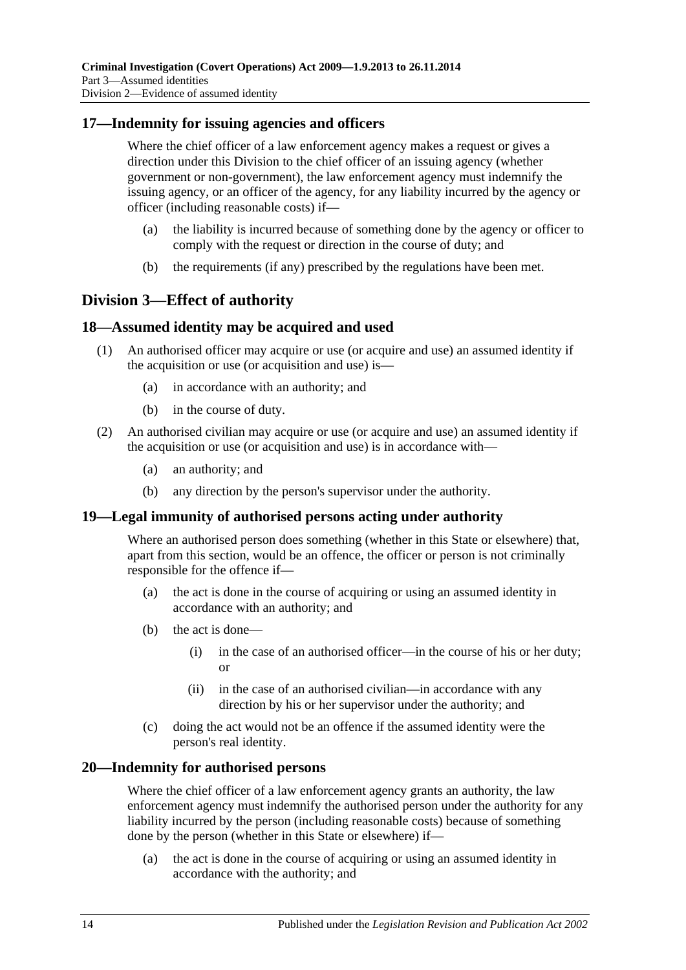## <span id="page-13-0"></span>**17—Indemnity for issuing agencies and officers**

Where the chief officer of a law enforcement agency makes a request or gives a direction under this Division to the chief officer of an issuing agency (whether government or non-government), the law enforcement agency must indemnify the issuing agency, or an officer of the agency, for any liability incurred by the agency or officer (including reasonable costs) if—

- (a) the liability is incurred because of something done by the agency or officer to comply with the request or direction in the course of duty; and
- (b) the requirements (if any) prescribed by the regulations have been met.

## <span id="page-13-1"></span>**Division 3—Effect of authority**

## <span id="page-13-2"></span>**18—Assumed identity may be acquired and used**

- (1) An authorised officer may acquire or use (or acquire and use) an assumed identity if the acquisition or use (or acquisition and use) is—
	- (a) in accordance with an authority; and
	- (b) in the course of duty.
- (2) An authorised civilian may acquire or use (or acquire and use) an assumed identity if the acquisition or use (or acquisition and use) is in accordance with—
	- (a) an authority; and
	- (b) any direction by the person's supervisor under the authority.

## <span id="page-13-3"></span>**19—Legal immunity of authorised persons acting under authority**

Where an authorised person does something (whether in this State or elsewhere) that, apart from this section, would be an offence, the officer or person is not criminally responsible for the offence if—

- (a) the act is done in the course of acquiring or using an assumed identity in accordance with an authority; and
- (b) the act is done—
	- (i) in the case of an authorised officer—in the course of his or her duty; or
	- (ii) in the case of an authorised civilian—in accordance with any direction by his or her supervisor under the authority; and
- (c) doing the act would not be an offence if the assumed identity were the person's real identity.

## <span id="page-13-4"></span>**20—Indemnity for authorised persons**

Where the chief officer of a law enforcement agency grants an authority, the law enforcement agency must indemnify the authorised person under the authority for any liability incurred by the person (including reasonable costs) because of something done by the person (whether in this State or elsewhere) if—

(a) the act is done in the course of acquiring or using an assumed identity in accordance with the authority; and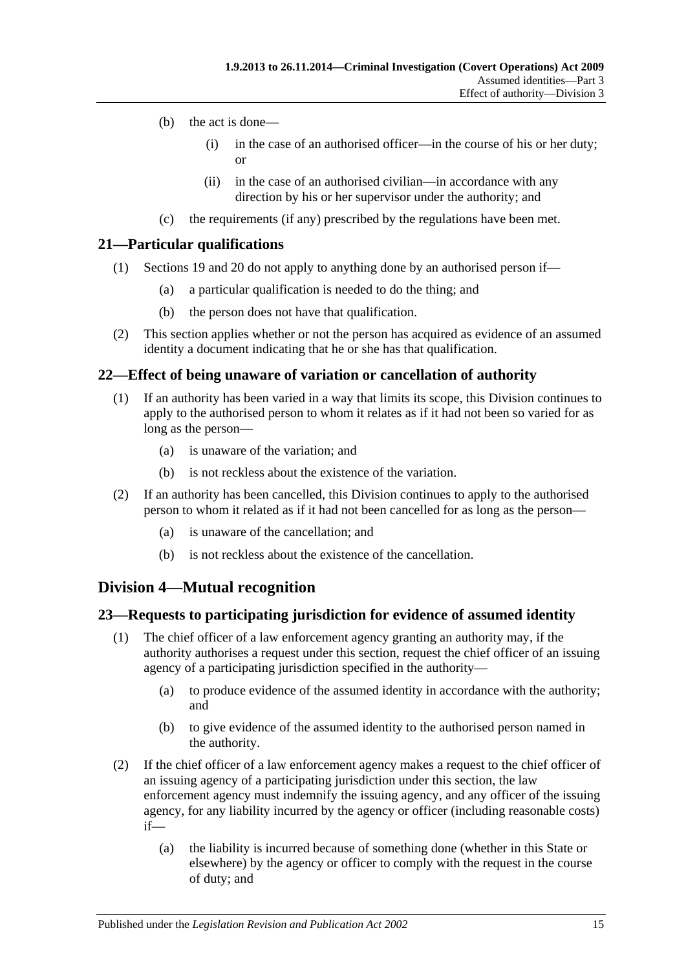- (b) the act is done—
	- (i) in the case of an authorised officer—in the course of his or her duty; or
	- (ii) in the case of an authorised civilian—in accordance with any direction by his or her supervisor under the authority; and
- (c) the requirements (if any) prescribed by the regulations have been met.

#### <span id="page-14-0"></span>**21—Particular qualifications**

- (1) [Sections 19](#page-13-3) and [20](#page-13-4) do not apply to anything done by an authorised person if—
	- (a) a particular qualification is needed to do the thing; and
	- (b) the person does not have that qualification.
- (2) This section applies whether or not the person has acquired as evidence of an assumed identity a document indicating that he or she has that qualification.

## <span id="page-14-1"></span>**22—Effect of being unaware of variation or cancellation of authority**

- (1) If an authority has been varied in a way that limits its scope, this Division continues to apply to the authorised person to whom it relates as if it had not been so varied for as long as the person—
	- (a) is unaware of the variation; and
	- (b) is not reckless about the existence of the variation.
- (2) If an authority has been cancelled, this Division continues to apply to the authorised person to whom it related as if it had not been cancelled for as long as the person—
	- (a) is unaware of the cancellation; and
	- (b) is not reckless about the existence of the cancellation.

## <span id="page-14-2"></span>**Division 4—Mutual recognition**

#### <span id="page-14-3"></span>**23—Requests to participating jurisdiction for evidence of assumed identity**

- (1) The chief officer of a law enforcement agency granting an authority may, if the authority authorises a request under this section, request the chief officer of an issuing agency of a participating jurisdiction specified in the authority—
	- (a) to produce evidence of the assumed identity in accordance with the authority; and
	- (b) to give evidence of the assumed identity to the authorised person named in the authority.
- (2) If the chief officer of a law enforcement agency makes a request to the chief officer of an issuing agency of a participating jurisdiction under this section, the law enforcement agency must indemnify the issuing agency, and any officer of the issuing agency, for any liability incurred by the agency or officer (including reasonable costs) if—
	- (a) the liability is incurred because of something done (whether in this State or elsewhere) by the agency or officer to comply with the request in the course of duty; and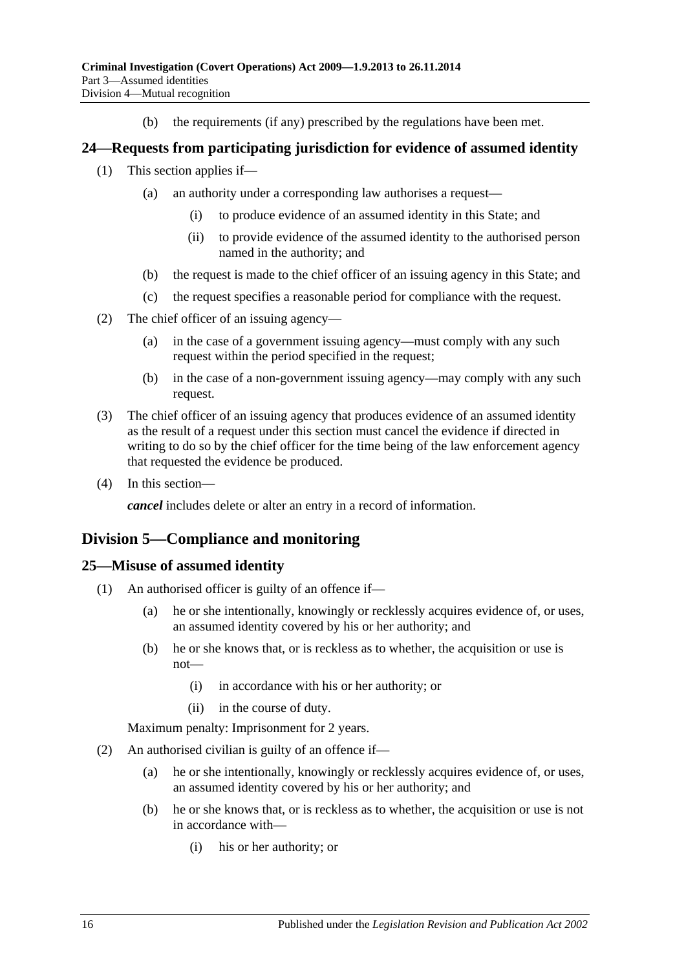(b) the requirements (if any) prescribed by the regulations have been met.

## <span id="page-15-0"></span>**24—Requests from participating jurisdiction for evidence of assumed identity**

- (1) This section applies if—
	- (a) an authority under a corresponding law authorises a request—
		- (i) to produce evidence of an assumed identity in this State; and
		- (ii) to provide evidence of the assumed identity to the authorised person named in the authority; and
	- (b) the request is made to the chief officer of an issuing agency in this State; and
	- (c) the request specifies a reasonable period for compliance with the request.
- (2) The chief officer of an issuing agency—
	- (a) in the case of a government issuing agency—must comply with any such request within the period specified in the request;
	- (b) in the case of a non-government issuing agency—may comply with any such request.
- (3) The chief officer of an issuing agency that produces evidence of an assumed identity as the result of a request under this section must cancel the evidence if directed in writing to do so by the chief officer for the time being of the law enforcement agency that requested the evidence be produced.
- (4) In this section—

*cancel* includes delete or alter an entry in a record of information.

## <span id="page-15-1"></span>**Division 5—Compliance and monitoring**

#### <span id="page-15-2"></span>**25—Misuse of assumed identity**

- (1) An authorised officer is guilty of an offence if—
	- (a) he or she intentionally, knowingly or recklessly acquires evidence of, or uses, an assumed identity covered by his or her authority; and
	- (b) he or she knows that, or is reckless as to whether, the acquisition or use is not—
		- (i) in accordance with his or her authority; or
		- (ii) in the course of duty.

Maximum penalty: Imprisonment for 2 years.

- (2) An authorised civilian is guilty of an offence if—
	- (a) he or she intentionally, knowingly or recklessly acquires evidence of, or uses, an assumed identity covered by his or her authority; and
	- (b) he or she knows that, or is reckless as to whether, the acquisition or use is not in accordance with—
		- (i) his or her authority; or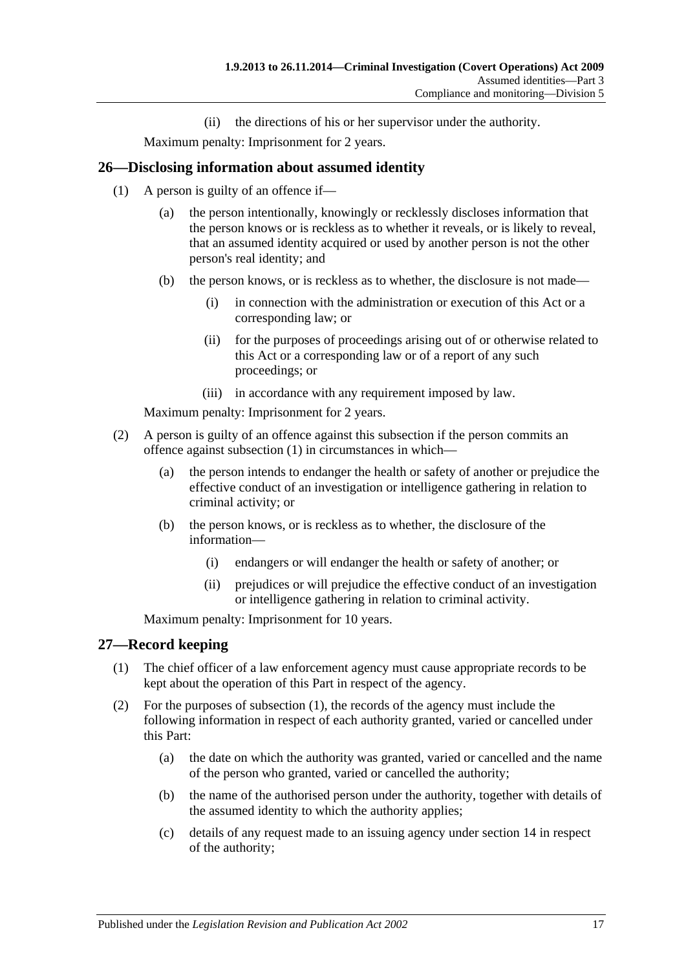(ii) the directions of his or her supervisor under the authority.

Maximum penalty: Imprisonment for 2 years.

## <span id="page-16-2"></span><span id="page-16-0"></span>**26—Disclosing information about assumed identity**

- (1) A person is guilty of an offence if—
	- (a) the person intentionally, knowingly or recklessly discloses information that the person knows or is reckless as to whether it reveals, or is likely to reveal, that an assumed identity acquired or used by another person is not the other person's real identity; and
	- (b) the person knows, or is reckless as to whether, the disclosure is not made—
		- (i) in connection with the administration or execution of this Act or a corresponding law; or
		- (ii) for the purposes of proceedings arising out of or otherwise related to this Act or a corresponding law or of a report of any such proceedings; or
		- (iii) in accordance with any requirement imposed by law.

Maximum penalty: Imprisonment for 2 years.

- (2) A person is guilty of an offence against this subsection if the person commits an offence against [subsection](#page-16-2) (1) in circumstances in which—
	- (a) the person intends to endanger the health or safety of another or prejudice the effective conduct of an investigation or intelligence gathering in relation to criminal activity; or
	- (b) the person knows, or is reckless as to whether, the disclosure of the information—
		- (i) endangers or will endanger the health or safety of another; or
		- (ii) prejudices or will prejudice the effective conduct of an investigation or intelligence gathering in relation to criminal activity.

Maximum penalty: Imprisonment for 10 years.

#### <span id="page-16-3"></span><span id="page-16-1"></span>**27—Record keeping**

- (1) The chief officer of a law enforcement agency must cause appropriate records to be kept about the operation of this Part in respect of the agency.
- (2) For the purposes of [subsection](#page-16-3) (1), the records of the agency must include the following information in respect of each authority granted, varied or cancelled under this Part:
	- (a) the date on which the authority was granted, varied or cancelled and the name of the person who granted, varied or cancelled the authority;
	- (b) the name of the authorised person under the authority, together with details of the assumed identity to which the authority applies;
	- (c) details of any request made to an issuing agency under [section](#page-12-1) 14 in respect of the authority;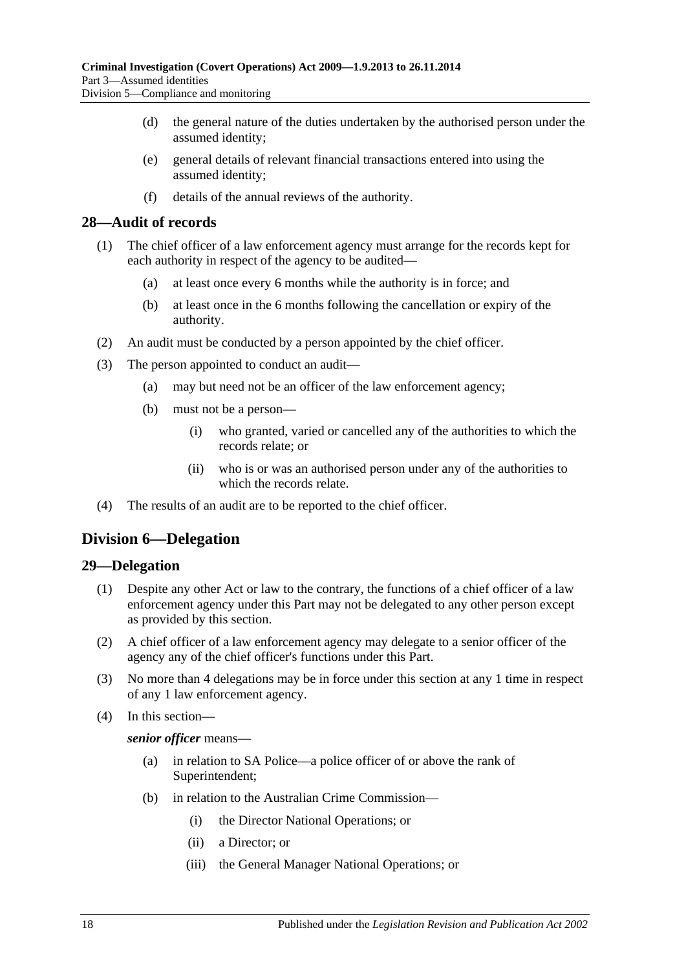- (d) the general nature of the duties undertaken by the authorised person under the assumed identity;
- (e) general details of relevant financial transactions entered into using the assumed identity;
- (f) details of the annual reviews of the authority.

#### <span id="page-17-0"></span>**28—Audit of records**

- (1) The chief officer of a law enforcement agency must arrange for the records kept for each authority in respect of the agency to be audited—
	- (a) at least once every 6 months while the authority is in force; and
	- (b) at least once in the 6 months following the cancellation or expiry of the authority.
- (2) An audit must be conducted by a person appointed by the chief officer.
- (3) The person appointed to conduct an audit—
	- (a) may but need not be an officer of the law enforcement agency;
	- (b) must not be a person—
		- (i) who granted, varied or cancelled any of the authorities to which the records relate; or
		- (ii) who is or was an authorised person under any of the authorities to which the records relate.
- (4) The results of an audit are to be reported to the chief officer.

## <span id="page-17-1"></span>**Division 6—Delegation**

#### <span id="page-17-2"></span>**29—Delegation**

- (1) Despite any other Act or law to the contrary, the functions of a chief officer of a law enforcement agency under this Part may not be delegated to any other person except as provided by this section.
- (2) A chief officer of a law enforcement agency may delegate to a senior officer of the agency any of the chief officer's functions under this Part.
- (3) No more than 4 delegations may be in force under this section at any 1 time in respect of any 1 law enforcement agency.
- (4) In this section—

#### *senior officer* means—

- (a) in relation to SA Police—a police officer of or above the rank of Superintendent;
- (b) in relation to the Australian Crime Commission—
	- (i) the Director National Operations; or
	- (ii) a Director; or
	- (iii) the General Manager National Operations; or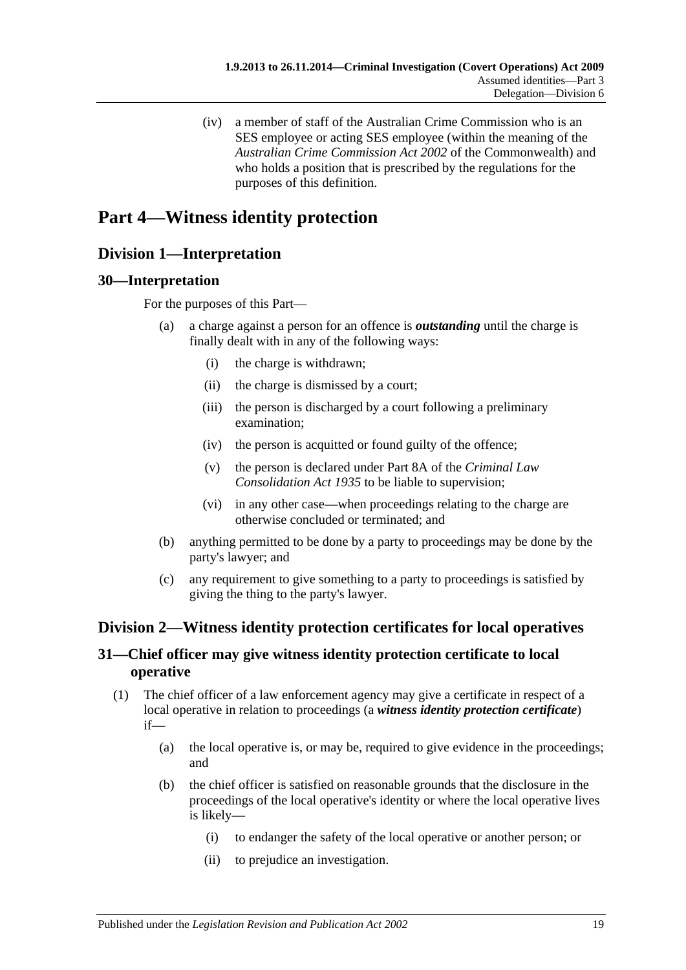(iv) a member of staff of the Australian Crime Commission who is an SES employee or acting SES employee (within the meaning of the *Australian Crime Commission Act 2002* of the Commonwealth) and who holds a position that is prescribed by the regulations for the purposes of this definition.

# <span id="page-18-0"></span>**Part 4—Witness identity protection**

## <span id="page-18-1"></span>**Division 1—Interpretation**

## <span id="page-18-2"></span>**30—Interpretation**

For the purposes of this Part—

- (a) a charge against a person for an offence is *outstanding* until the charge is finally dealt with in any of the following ways:
	- (i) the charge is withdrawn;
	- (ii) the charge is dismissed by a court;
	- (iii) the person is discharged by a court following a preliminary examination;
	- (iv) the person is acquitted or found guilty of the offence;
	- (v) the person is declared under Part 8A of the *[Criminal Law](http://www.legislation.sa.gov.au/index.aspx?action=legref&type=act&legtitle=Criminal%20Law%20Consolidation%20Act%201935)  [Consolidation Act](http://www.legislation.sa.gov.au/index.aspx?action=legref&type=act&legtitle=Criminal%20Law%20Consolidation%20Act%201935) 1935* to be liable to supervision;
	- (vi) in any other case—when proceedings relating to the charge are otherwise concluded or terminated; and
- (b) anything permitted to be done by a party to proceedings may be done by the party's lawyer; and
- (c) any requirement to give something to a party to proceedings is satisfied by giving the thing to the party's lawyer.

## <span id="page-18-3"></span>**Division 2—Witness identity protection certificates for local operatives**

## <span id="page-18-4"></span>**31—Chief officer may give witness identity protection certificate to local operative**

- <span id="page-18-5"></span>(1) The chief officer of a law enforcement agency may give a certificate in respect of a local operative in relation to proceedings (a *witness identity protection certificate*) if—
	- (a) the local operative is, or may be, required to give evidence in the proceedings; and
	- (b) the chief officer is satisfied on reasonable grounds that the disclosure in the proceedings of the local operative's identity or where the local operative lives is likely—
		- (i) to endanger the safety of the local operative or another person; or
		- (ii) to prejudice an investigation.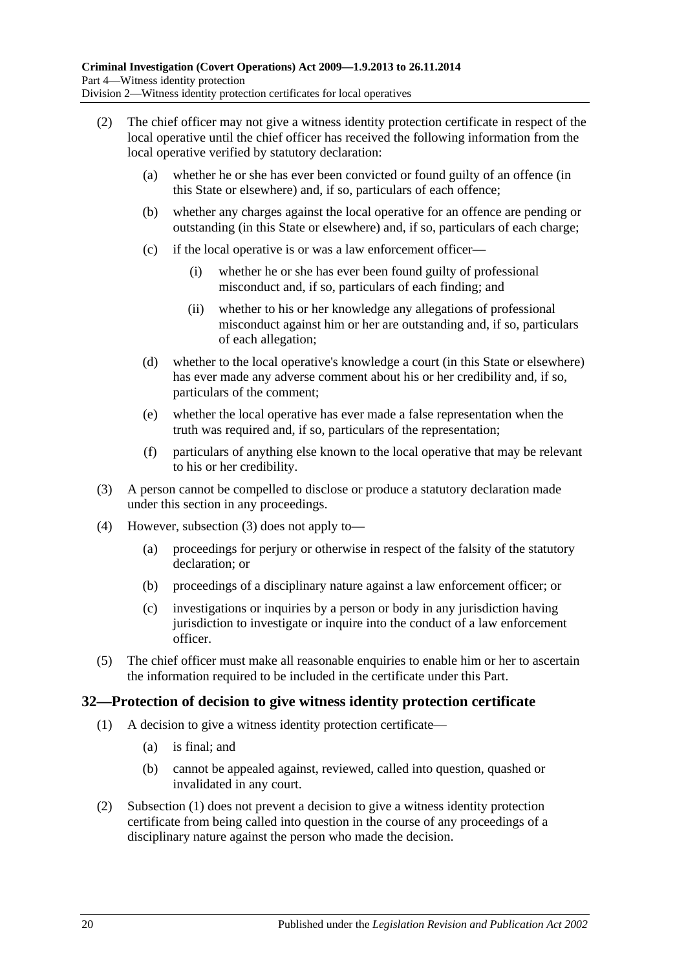- (2) The chief officer may not give a witness identity protection certificate in respect of the local operative until the chief officer has received the following information from the local operative verified by statutory declaration:
	- (a) whether he or she has ever been convicted or found guilty of an offence (in this State or elsewhere) and, if so, particulars of each offence;
	- (b) whether any charges against the local operative for an offence are pending or outstanding (in this State or elsewhere) and, if so, particulars of each charge;
	- (c) if the local operative is or was a law enforcement officer—
		- (i) whether he or she has ever been found guilty of professional misconduct and, if so, particulars of each finding; and
		- (ii) whether to his or her knowledge any allegations of professional misconduct against him or her are outstanding and, if so, particulars of each allegation;
	- (d) whether to the local operative's knowledge a court (in this State or elsewhere) has ever made any adverse comment about his or her credibility and, if so, particulars of the comment;
	- (e) whether the local operative has ever made a false representation when the truth was required and, if so, particulars of the representation;
	- (f) particulars of anything else known to the local operative that may be relevant to his or her credibility.
- <span id="page-19-1"></span>(3) A person cannot be compelled to disclose or produce a statutory declaration made under this section in any proceedings.
- (4) However, [subsection \(3\)](#page-19-1) does not apply to—
	- (a) proceedings for perjury or otherwise in respect of the falsity of the statutory declaration; or
	- (b) proceedings of a disciplinary nature against a law enforcement officer; or
	- (c) investigations or inquiries by a person or body in any jurisdiction having jurisdiction to investigate or inquire into the conduct of a law enforcement officer.
- (5) The chief officer must make all reasonable enquiries to enable him or her to ascertain the information required to be included in the certificate under this Part.

## <span id="page-19-2"></span><span id="page-19-0"></span>**32—Protection of decision to give witness identity protection certificate**

- (1) A decision to give a witness identity protection certificate—
	- (a) is final; and
	- (b) cannot be appealed against, reviewed, called into question, quashed or invalidated in any court.
- (2) [Subsection \(1\)](#page-19-2) does not prevent a decision to give a witness identity protection certificate from being called into question in the course of any proceedings of a disciplinary nature against the person who made the decision.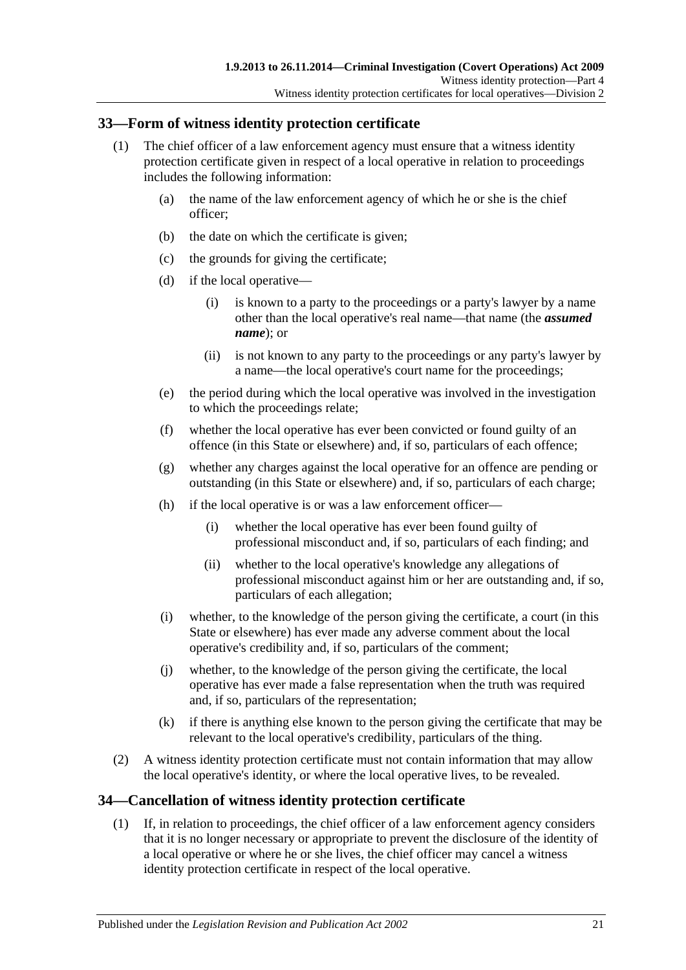## <span id="page-20-0"></span>**33—Form of witness identity protection certificate**

- <span id="page-20-2"></span>(1) The chief officer of a law enforcement agency must ensure that a witness identity protection certificate given in respect of a local operative in relation to proceedings includes the following information:
	- (a) the name of the law enforcement agency of which he or she is the chief officer;
	- (b) the date on which the certificate is given;
	- (c) the grounds for giving the certificate;
	- (d) if the local operative—
		- (i) is known to a party to the proceedings or a party's lawyer by a name other than the local operative's real name—that name (the *assumed name*); or
		- (ii) is not known to any party to the proceedings or any party's lawyer by a name—the local operative's court name for the proceedings;
	- (e) the period during which the local operative was involved in the investigation to which the proceedings relate;
	- (f) whether the local operative has ever been convicted or found guilty of an offence (in this State or elsewhere) and, if so, particulars of each offence;
	- (g) whether any charges against the local operative for an offence are pending or outstanding (in this State or elsewhere) and, if so, particulars of each charge;
	- (h) if the local operative is or was a law enforcement officer—
		- (i) whether the local operative has ever been found guilty of professional misconduct and, if so, particulars of each finding; and
		- (ii) whether to the local operative's knowledge any allegations of professional misconduct against him or her are outstanding and, if so, particulars of each allegation;
	- (i) whether, to the knowledge of the person giving the certificate, a court (in this State or elsewhere) has ever made any adverse comment about the local operative's credibility and, if so, particulars of the comment;
	- (j) whether, to the knowledge of the person giving the certificate, the local operative has ever made a false representation when the truth was required and, if so, particulars of the representation;
	- (k) if there is anything else known to the person giving the certificate that may be relevant to the local operative's credibility, particulars of the thing.
- (2) A witness identity protection certificate must not contain information that may allow the local operative's identity, or where the local operative lives, to be revealed.

## <span id="page-20-1"></span>**34—Cancellation of witness identity protection certificate**

(1) If, in relation to proceedings, the chief officer of a law enforcement agency considers that it is no longer necessary or appropriate to prevent the disclosure of the identity of a local operative or where he or she lives, the chief officer may cancel a witness identity protection certificate in respect of the local operative.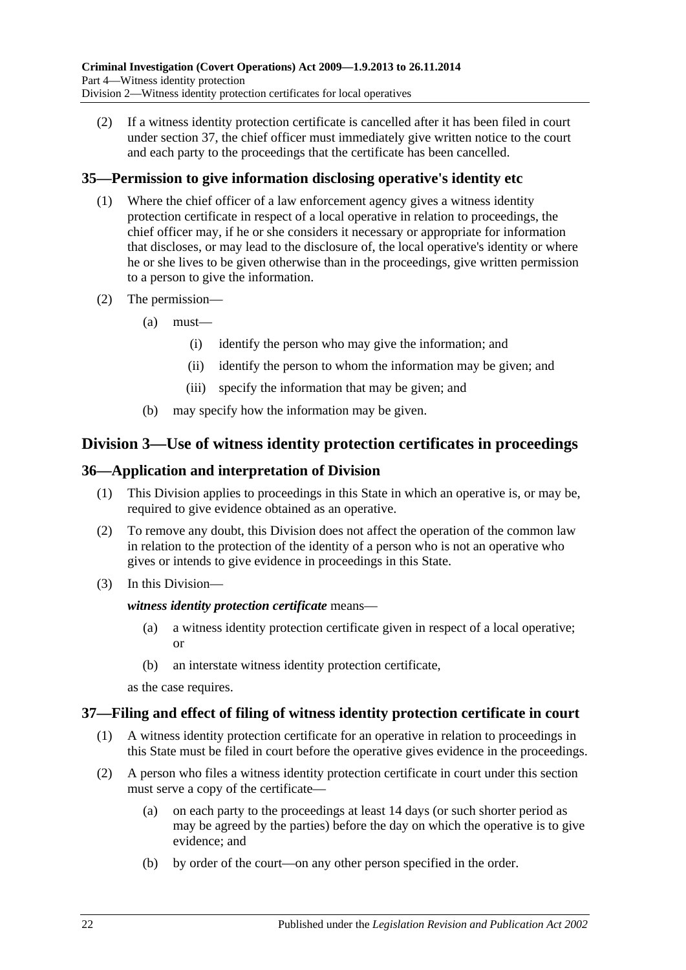(2) If a witness identity protection certificate is cancelled after it has been filed in court under [section](#page-21-3) 37, the chief officer must immediately give written notice to the court and each party to the proceedings that the certificate has been cancelled.

## <span id="page-21-0"></span>**35—Permission to give information disclosing operative's identity etc**

- (1) Where the chief officer of a law enforcement agency gives a witness identity protection certificate in respect of a local operative in relation to proceedings, the chief officer may, if he or she considers it necessary or appropriate for information that discloses, or may lead to the disclosure of, the local operative's identity or where he or she lives to be given otherwise than in the proceedings, give written permission to a person to give the information.
- (2) The permission—
	- (a) must—
		- (i) identify the person who may give the information; and
		- (ii) identify the person to whom the information may be given; and
		- (iii) specify the information that may be given; and
	- (b) may specify how the information may be given.

## <span id="page-21-1"></span>**Division 3—Use of witness identity protection certificates in proceedings**

## <span id="page-21-2"></span>**36—Application and interpretation of Division**

- (1) This Division applies to proceedings in this State in which an operative is, or may be, required to give evidence obtained as an operative.
- (2) To remove any doubt, this Division does not affect the operation of the common law in relation to the protection of the identity of a person who is not an operative who gives or intends to give evidence in proceedings in this State.
- (3) In this Division—

#### *witness identity protection certificate* means—

- (a) a witness identity protection certificate given in respect of a local operative; or
- (b) an interstate witness identity protection certificate,

as the case requires.

## <span id="page-21-3"></span>**37—Filing and effect of filing of witness identity protection certificate in court**

- (1) A witness identity protection certificate for an operative in relation to proceedings in this State must be filed in court before the operative gives evidence in the proceedings.
- (2) A person who files a witness identity protection certificate in court under this section must serve a copy of the certificate—
	- (a) on each party to the proceedings at least 14 days (or such shorter period as may be agreed by the parties) before the day on which the operative is to give evidence; and
	- (b) by order of the court—on any other person specified in the order.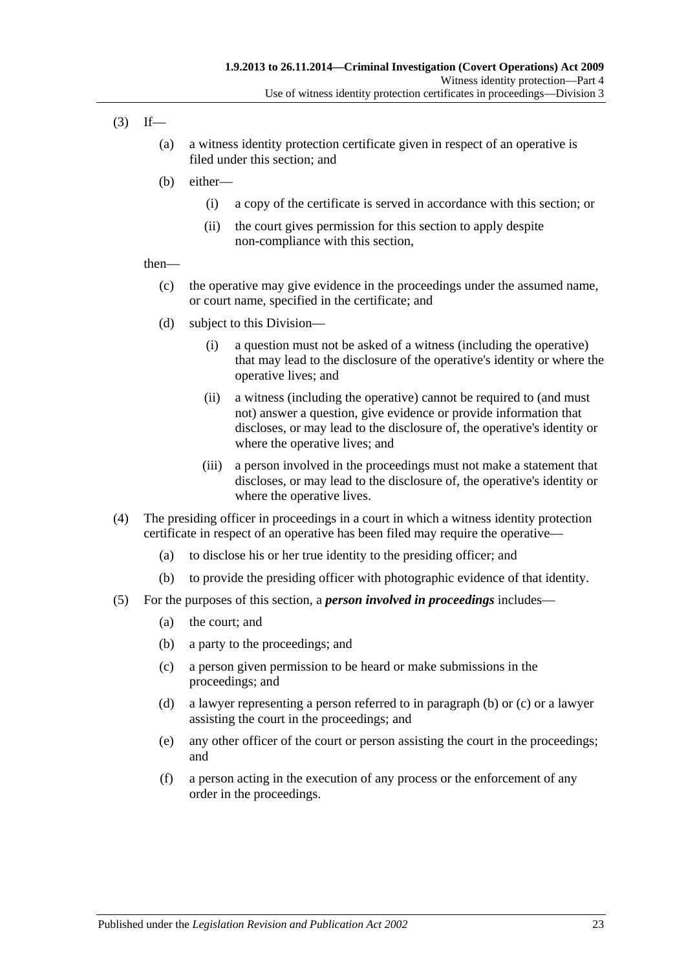- $(3)$  If—
	- (a) a witness identity protection certificate given in respect of an operative is filed under this section; and
	- (b) either—
		- (i) a copy of the certificate is served in accordance with this section; or
		- (ii) the court gives permission for this section to apply despite non-compliance with this section,

#### then—

- (c) the operative may give evidence in the proceedings under the assumed name, or court name, specified in the certificate; and
- (d) subject to this Division—
	- (i) a question must not be asked of a witness (including the operative) that may lead to the disclosure of the operative's identity or where the operative lives; and
	- (ii) a witness (including the operative) cannot be required to (and must not) answer a question, give evidence or provide information that discloses, or may lead to the disclosure of, the operative's identity or where the operative lives; and
	- (iii) a person involved in the proceedings must not make a statement that discloses, or may lead to the disclosure of, the operative's identity or where the operative lives.
- (4) The presiding officer in proceedings in a court in which a witness identity protection certificate in respect of an operative has been filed may require the operative—
	- (a) to disclose his or her true identity to the presiding officer; and
	- (b) to provide the presiding officer with photographic evidence of that identity.
- <span id="page-22-1"></span><span id="page-22-0"></span>(5) For the purposes of this section, a *person involved in proceedings* includes—
	- (a) the court; and
	- (b) a party to the proceedings; and
	- (c) a person given permission to be heard or make submissions in the proceedings; and
	- (d) a lawyer representing a person referred to in [paragraph](#page-22-0) (b) or [\(c\)](#page-22-1) or a lawyer assisting the court in the proceedings; and
	- (e) any other officer of the court or person assisting the court in the proceedings; and
	- (f) a person acting in the execution of any process or the enforcement of any order in the proceedings.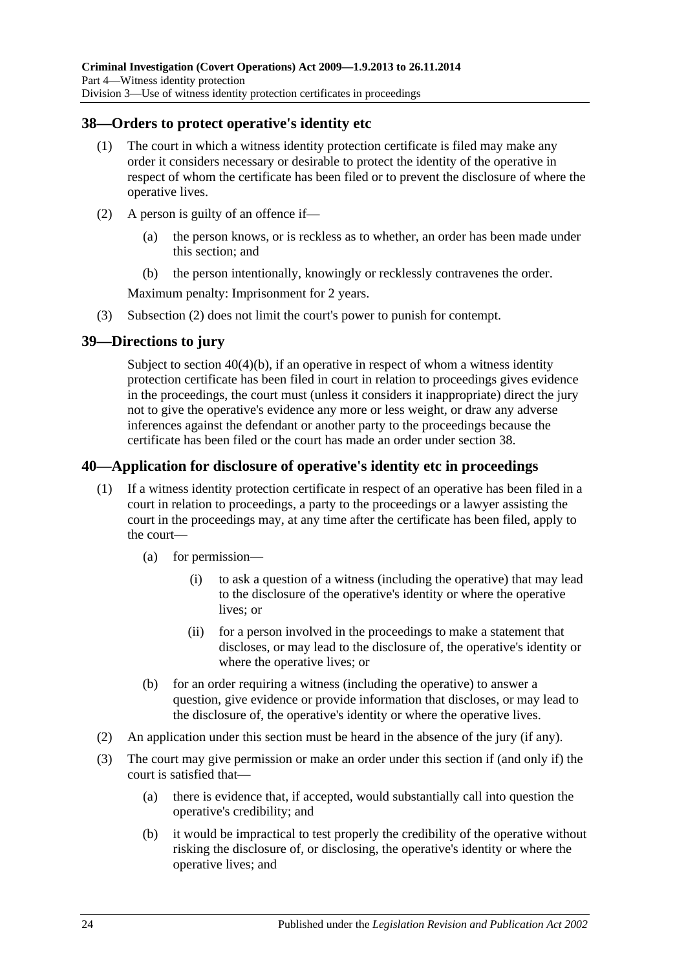## <span id="page-23-0"></span>**38—Orders to protect operative's identity etc**

- (1) The court in which a witness identity protection certificate is filed may make any order it considers necessary or desirable to protect the identity of the operative in respect of whom the certificate has been filed or to prevent the disclosure of where the operative lives.
- <span id="page-23-3"></span>(2) A person is guilty of an offence if—
	- (a) the person knows, or is reckless as to whether, an order has been made under this section; and
	- (b) the person intentionally, knowingly or recklessly contravenes the order.

Maximum penalty: Imprisonment for 2 years.

(3) [Subsection \(2\)](#page-23-3) does not limit the court's power to punish for contempt.

## <span id="page-23-1"></span>**39—Directions to jury**

Subject to section [40\(4\)\(b\),](#page-24-1) if an operative in respect of whom a witness identity protection certificate has been filed in court in relation to proceedings gives evidence in the proceedings, the court must (unless it considers it inappropriate) direct the jury not to give the operative's evidence any more or less weight, or draw any adverse inferences against the defendant or another party to the proceedings because the certificate has been filed or the court has made an order under [section](#page-23-0) 38.

## <span id="page-23-2"></span>**40—Application for disclosure of operative's identity etc in proceedings**

- (1) If a witness identity protection certificate in respect of an operative has been filed in a court in relation to proceedings, a party to the proceedings or a lawyer assisting the court in the proceedings may, at any time after the certificate has been filed, apply to the court—
	- (a) for permission—
		- (i) to ask a question of a witness (including the operative) that may lead to the disclosure of the operative's identity or where the operative lives; or
		- (ii) for a person involved in the proceedings to make a statement that discloses, or may lead to the disclosure of, the operative's identity or where the operative lives; or
	- (b) for an order requiring a witness (including the operative) to answer a question, give evidence or provide information that discloses, or may lead to the disclosure of, the operative's identity or where the operative lives.
- (2) An application under this section must be heard in the absence of the jury (if any).
- (3) The court may give permission or make an order under this section if (and only if) the court is satisfied that—
	- (a) there is evidence that, if accepted, would substantially call into question the operative's credibility; and
	- (b) it would be impractical to test properly the credibility of the operative without risking the disclosure of, or disclosing, the operative's identity or where the operative lives; and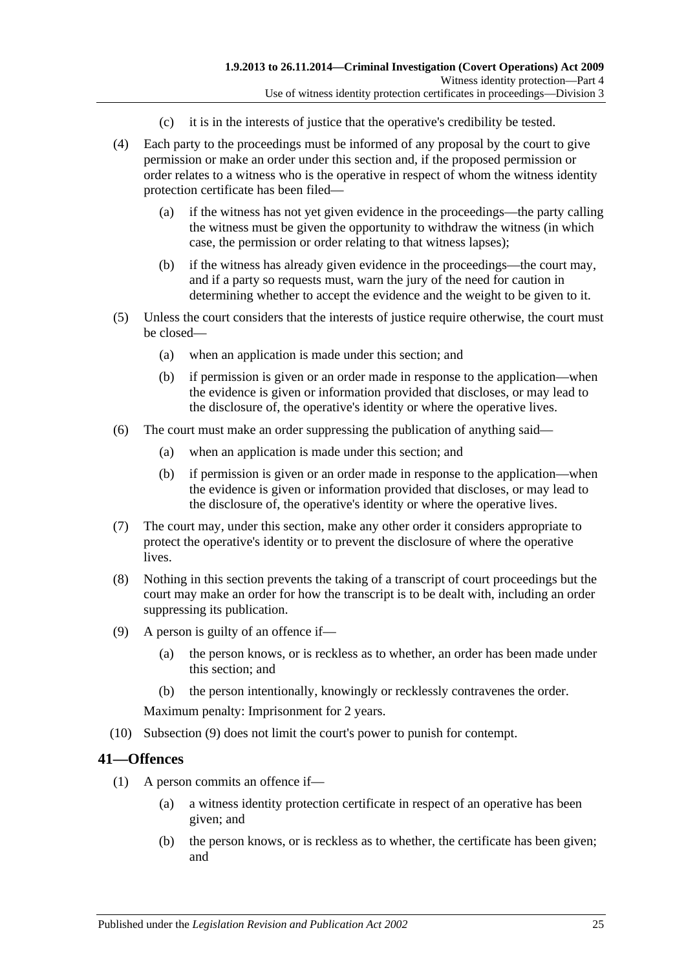- (c) it is in the interests of justice that the operative's credibility be tested.
- (4) Each party to the proceedings must be informed of any proposal by the court to give permission or make an order under this section and, if the proposed permission or order relates to a witness who is the operative in respect of whom the witness identity protection certificate has been filed—
	- (a) if the witness has not yet given evidence in the proceedings—the party calling the witness must be given the opportunity to withdraw the witness (in which case, the permission or order relating to that witness lapses);
	- (b) if the witness has already given evidence in the proceedings—the court may, and if a party so requests must, warn the jury of the need for caution in determining whether to accept the evidence and the weight to be given to it.
- <span id="page-24-1"></span>(5) Unless the court considers that the interests of justice require otherwise, the court must be closed—
	- (a) when an application is made under this section; and
	- (b) if permission is given or an order made in response to the application—when the evidence is given or information provided that discloses, or may lead to the disclosure of, the operative's identity or where the operative lives.
- (6) The court must make an order suppressing the publication of anything said—
	- (a) when an application is made under this section; and
	- (b) if permission is given or an order made in response to the application—when the evidence is given or information provided that discloses, or may lead to the disclosure of, the operative's identity or where the operative lives.
- (7) The court may, under this section, make any other order it considers appropriate to protect the operative's identity or to prevent the disclosure of where the operative lives.
- (8) Nothing in this section prevents the taking of a transcript of court proceedings but the court may make an order for how the transcript is to be dealt with, including an order suppressing its publication.
- <span id="page-24-2"></span>(9) A person is guilty of an offence if—
	- (a) the person knows, or is reckless as to whether, an order has been made under this section; and
	- (b) the person intentionally, knowingly or recklessly contravenes the order.

Maximum penalty: Imprisonment for 2 years.

(10) [Subsection \(9\)](#page-24-2) does not limit the court's power to punish for contempt.

#### <span id="page-24-3"></span><span id="page-24-0"></span>**41—Offences**

- (1) A person commits an offence if—
	- (a) a witness identity protection certificate in respect of an operative has been given; and
	- (b) the person knows, or is reckless as to whether, the certificate has been given; and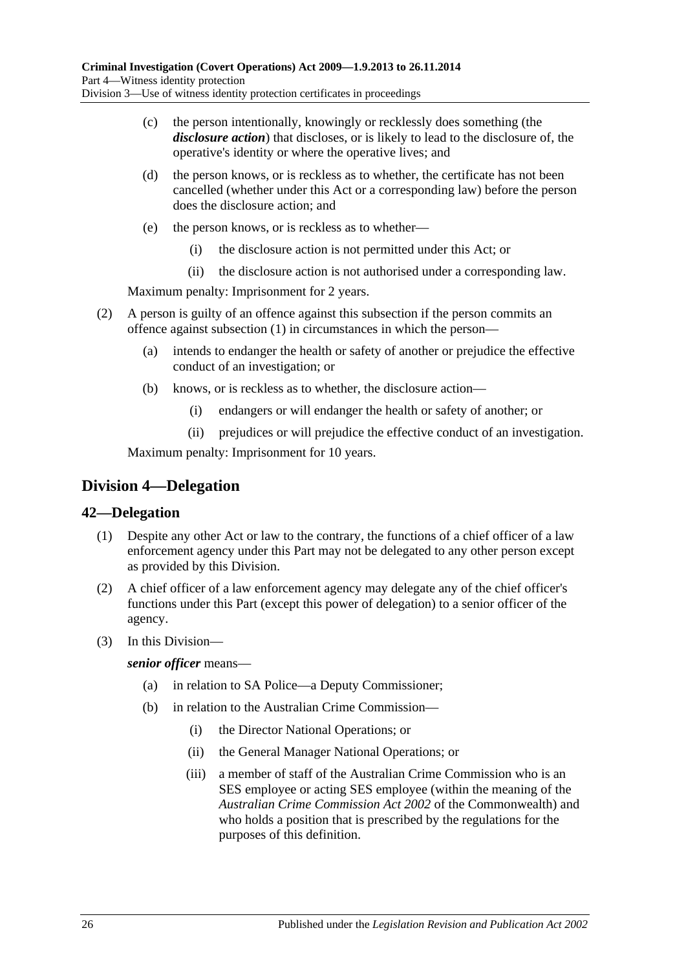- (c) the person intentionally, knowingly or recklessly does something (the *disclosure action*) that discloses, or is likely to lead to the disclosure of, the operative's identity or where the operative lives; and
- (d) the person knows, or is reckless as to whether, the certificate has not been cancelled (whether under this Act or a corresponding law) before the person does the disclosure action; and
- (e) the person knows, or is reckless as to whether—
	- (i) the disclosure action is not permitted under this Act; or
	- (ii) the disclosure action is not authorised under a corresponding law.

Maximum penalty: Imprisonment for 2 years.

- (2) A person is guilty of an offence against this subsection if the person commits an offence against [subsection](#page-24-3) (1) in circumstances in which the person—
	- (a) intends to endanger the health or safety of another or prejudice the effective conduct of an investigation; or
	- (b) knows, or is reckless as to whether, the disclosure action—
		- (i) endangers or will endanger the health or safety of another; or
		- (ii) prejudices or will prejudice the effective conduct of an investigation.

Maximum penalty: Imprisonment for 10 years.

## <span id="page-25-0"></span>**Division 4—Delegation**

## <span id="page-25-1"></span>**42—Delegation**

- (1) Despite any other Act or law to the contrary, the functions of a chief officer of a law enforcement agency under this Part may not be delegated to any other person except as provided by this Division.
- (2) A chief officer of a law enforcement agency may delegate any of the chief officer's functions under this Part (except this power of delegation) to a senior officer of the agency.
- (3) In this Division—

*senior officer* means—

- (a) in relation to SA Police—a Deputy Commissioner;
- (b) in relation to the Australian Crime Commission—
	- (i) the Director National Operations; or
	- (ii) the General Manager National Operations; or
	- (iii) a member of staff of the Australian Crime Commission who is an SES employee or acting SES employee (within the meaning of the *Australian Crime Commission Act 2002* of the Commonwealth) and who holds a position that is prescribed by the regulations for the purposes of this definition.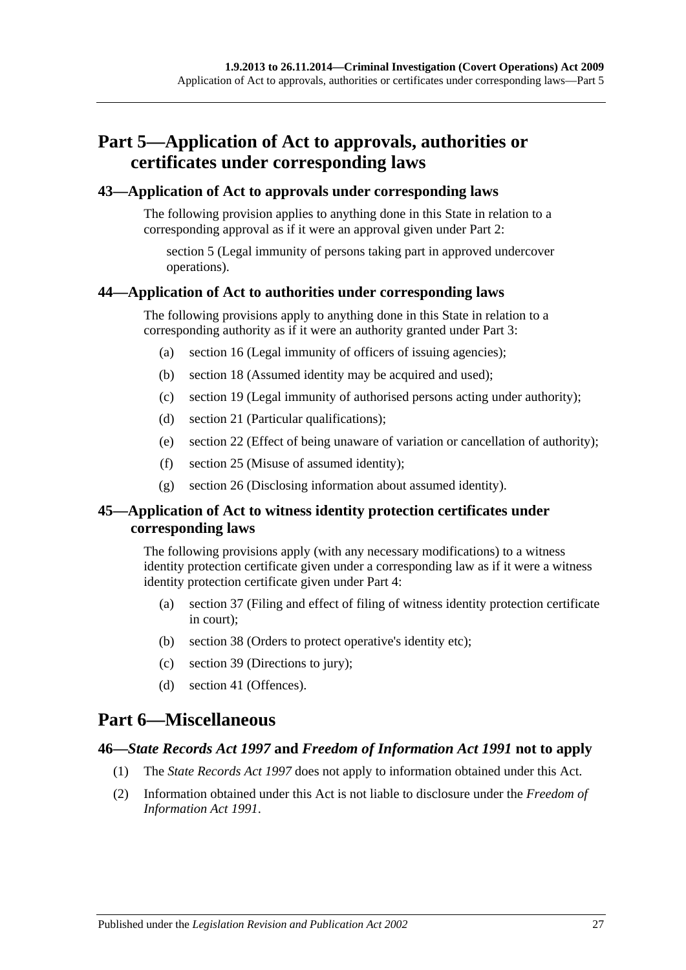# <span id="page-26-0"></span>**Part 5—Application of Act to approvals, authorities or certificates under corresponding laws**

#### <span id="page-26-1"></span>**43—Application of Act to approvals under corresponding laws**

The following provision applies to anything done in this State in relation to a corresponding approval as if it were an approval given under [Part 2:](#page-6-0)

[section](#page-7-0) 5 (Legal immunity of persons taking part in approved undercover operations).

#### <span id="page-26-2"></span>**44—Application of Act to authorities under corresponding laws**

The following provisions apply to anything done in this State in relation to a corresponding authority as if it were an authority granted under [Part 3:](#page-8-0)

- (a) [section](#page-12-3) 16 (Legal immunity of officers of issuing agencies);
- (b) [section](#page-13-2) 18 (Assumed identity may be acquired and used);
- (c) [section](#page-13-3) 19 (Legal immunity of authorised persons acting under authority);
- (d) [section](#page-14-0) 21 (Particular qualifications);
- (e) [section](#page-14-1) 22 (Effect of being unaware of variation or cancellation of authority);
- (f) [section](#page-15-2) 25 (Misuse of assumed identity);
- (g) [section](#page-16-0) 26 (Disclosing information about assumed identity).

## <span id="page-26-3"></span>**45—Application of Act to witness identity protection certificates under corresponding laws**

The following provisions apply (with any necessary modifications) to a witness identity protection certificate given under a corresponding law as if it were a witness identity protection certificate given under [Part 4:](#page-18-0)

- (a) [section](#page-21-3) 37 (Filing and effect of filing of witness identity protection certificate in court);
- (b) [section](#page-23-0) 38 (Orders to protect operative's identity etc);
- (c) [section](#page-23-1) 39 (Directions to jury);
- (d) [section](#page-24-0) 41 (Offences).

# <span id="page-26-4"></span>**Part 6—Miscellaneous**

#### <span id="page-26-5"></span>**46—***State Records Act 1997* **and** *Freedom of Information Act 1991* **not to apply**

- (1) The *[State Records Act](http://www.legislation.sa.gov.au/index.aspx?action=legref&type=act&legtitle=State%20Records%20Act%201997) 1997* does not apply to information obtained under this Act.
- (2) Information obtained under this Act is not liable to disclosure under the *[Freedom of](http://www.legislation.sa.gov.au/index.aspx?action=legref&type=act&legtitle=Freedom%20of%20Information%20Act%201991)  [Information Act](http://www.legislation.sa.gov.au/index.aspx?action=legref&type=act&legtitle=Freedom%20of%20Information%20Act%201991) 1991*.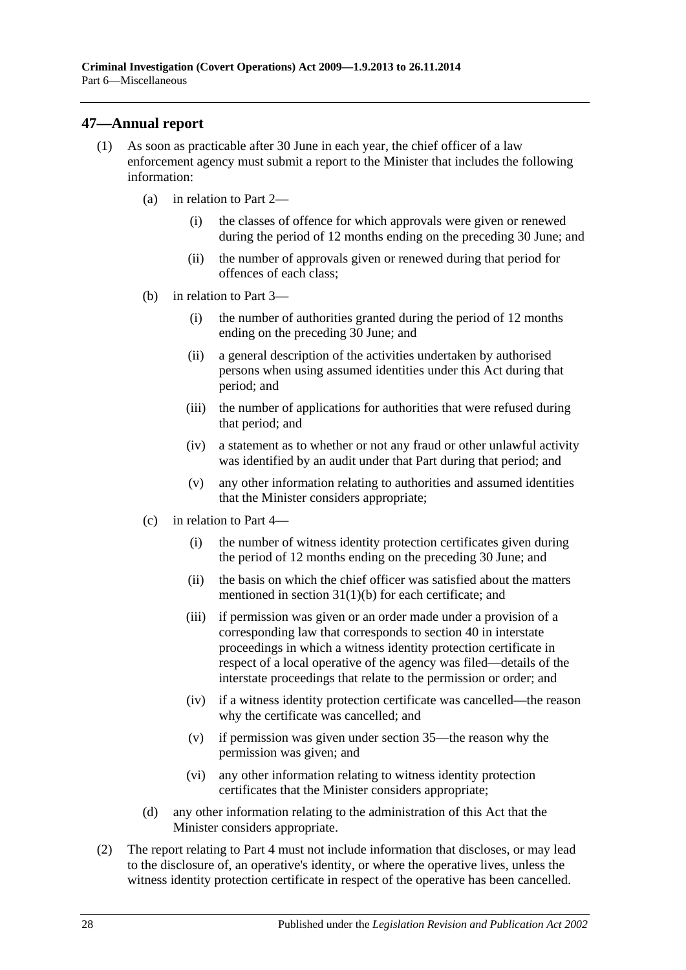## <span id="page-27-0"></span>**47—Annual report**

- (1) As soon as practicable after 30 June in each year, the chief officer of a law enforcement agency must submit a report to the Minister that includes the following information:
	- (a) in relation to [Part 2—](#page-6-0)
		- (i) the classes of offence for which approvals were given or renewed during the period of 12 months ending on the preceding 30 June; and
		- (ii) the number of approvals given or renewed during that period for offences of each class;
	- (b) in relation to [Part 3—](#page-8-0)
		- (i) the number of authorities granted during the period of 12 months ending on the preceding 30 June; and
		- (ii) a general description of the activities undertaken by authorised persons when using assumed identities under this Act during that period; and
		- (iii) the number of applications for authorities that were refused during that period; and
		- (iv) a statement as to whether or not any fraud or other unlawful activity was identified by an audit under that Part during that period; and
		- (v) any other information relating to authorities and assumed identities that the Minister considers appropriate;
	- (c) in relation to [Part 4—](#page-18-0)
		- (i) the number of witness identity protection certificates given during the period of 12 months ending on the preceding 30 June; and
		- (ii) the basis on which the chief officer was satisfied about the matters mentioned in section [31\(1\)\(b\)](#page-18-5) for each certificate; and
		- (iii) if permission was given or an order made under a provision of a corresponding law that corresponds to [section](#page-23-2) 40 in interstate proceedings in which a witness identity protection certificate in respect of a local operative of the agency was filed—details of the interstate proceedings that relate to the permission or order; and
		- (iv) if a witness identity protection certificate was cancelled—the reason why the certificate was cancelled; and
		- (v) if permission was given under [section](#page-21-0) 35—the reason why the permission was given; and
		- (vi) any other information relating to witness identity protection certificates that the Minister considers appropriate;
	- (d) any other information relating to the administration of this Act that the Minister considers appropriate.
- (2) The report relating to [Part 4](#page-18-0) must not include information that discloses, or may lead to the disclosure of, an operative's identity, or where the operative lives, unless the witness identity protection certificate in respect of the operative has been cancelled.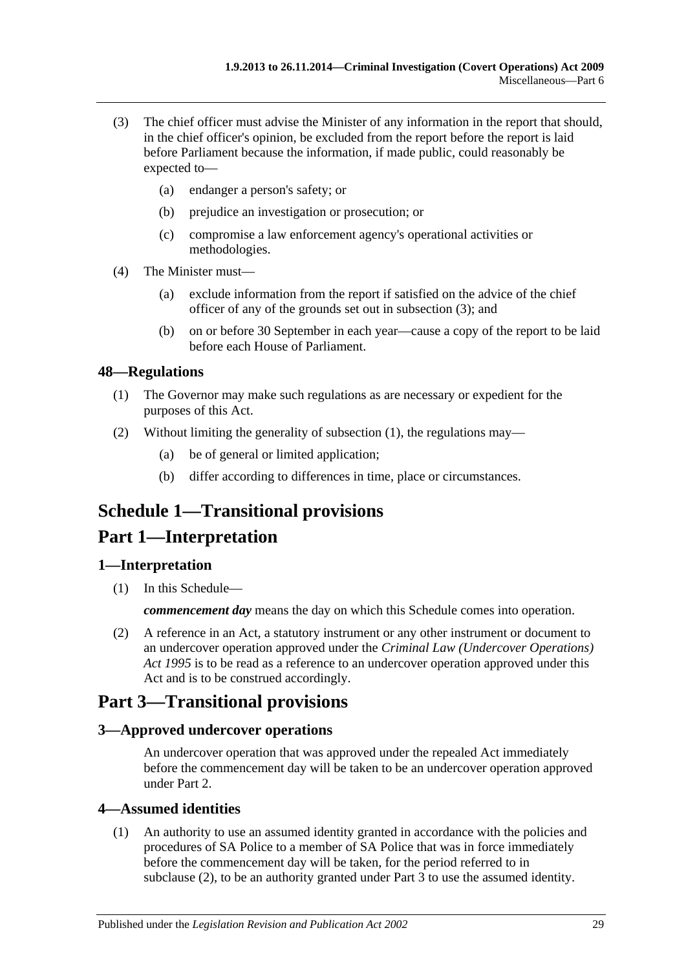- <span id="page-28-5"></span>(3) The chief officer must advise the Minister of any information in the report that should, in the chief officer's opinion, be excluded from the report before the report is laid before Parliament because the information, if made public, could reasonably be expected to—
	- (a) endanger a person's safety; or
	- (b) prejudice an investigation or prosecution; or
	- (c) compromise a law enforcement agency's operational activities or methodologies.
- (4) The Minister must—
	- (a) exclude information from the report if satisfied on the advice of the chief officer of any of the grounds set out in [subsection](#page-28-5) (3); and
	- (b) on or before 30 September in each year—cause a copy of the report to be laid before each House of Parliament.

## <span id="page-28-6"></span><span id="page-28-0"></span>**48—Regulations**

- (1) The Governor may make such regulations as are necessary or expedient for the purposes of this Act.
- (2) Without limiting the generality of [subsection](#page-28-6) (1), the regulations may—
	- (a) be of general or limited application;
	- (b) differ according to differences in time, place or circumstances.

# <span id="page-28-1"></span>**Schedule 1—Transitional provisions**

# **Part 1—Interpretation**

## <span id="page-28-2"></span>**1—Interpretation**

(1) In this Schedule—

*commencement day* means the day on which this Schedule comes into operation.

(2) A reference in an Act, a statutory instrument or any other instrument or document to an undercover operation approved under the *[Criminal Law \(Undercover Operations\)](http://www.legislation.sa.gov.au/index.aspx?action=legref&type=act&legtitle=Criminal%20Law%20(Undercover%20Operations)%20Act%201995) Act [1995](http://www.legislation.sa.gov.au/index.aspx?action=legref&type=act&legtitle=Criminal%20Law%20(Undercover%20Operations)%20Act%201995)* is to be read as a reference to an undercover operation approved under this Act and is to be construed accordingly.

# **Part 3—Transitional provisions**

## <span id="page-28-3"></span>**3—Approved undercover operations**

An undercover operation that was approved under the repealed Act immediately before the commencement day will be taken to be an undercover operation approved under [Part 2.](#page-6-0)

## <span id="page-28-4"></span>**4—Assumed identities**

(1) An authority to use an assumed identity granted in accordance with the policies and procedures of SA Police to a member of SA Police that was in force immediately before the commencement day will be taken, for the period referred to in [subclause](#page-29-1) (2), to be an authority granted under [Part 3](#page-8-0) to use the assumed identity.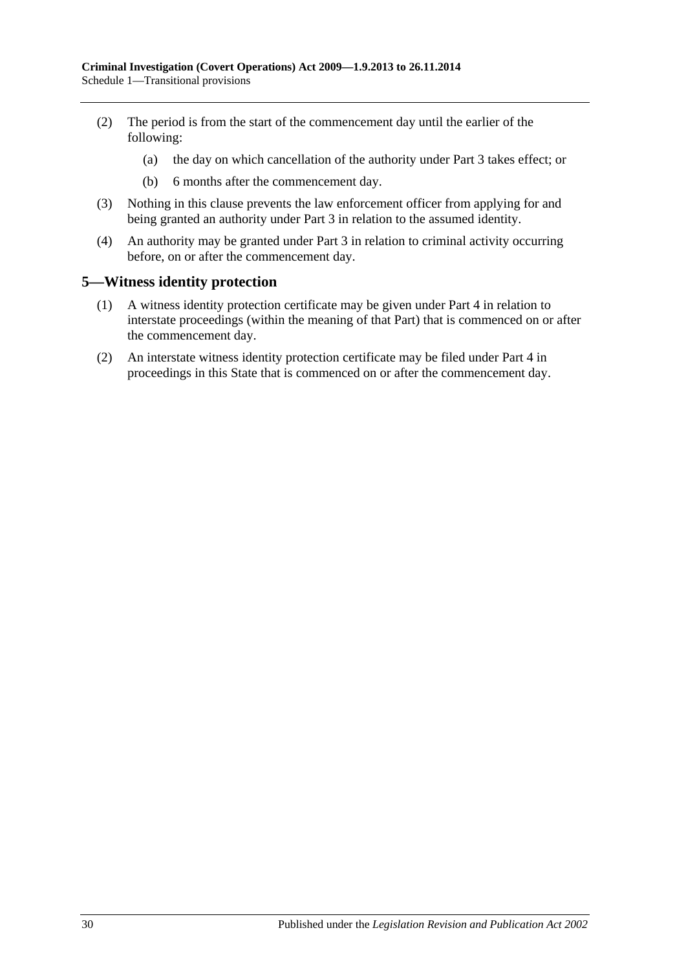- <span id="page-29-1"></span>(2) The period is from the start of the commencement day until the earlier of the following:
	- (a) the day on which cancellation of the authority under [Part 3](#page-8-0) takes effect; or
	- (b) 6 months after the commencement day.
- (3) Nothing in this clause prevents the law enforcement officer from applying for and being granted an authority under [Part 3](#page-8-0) in relation to the assumed identity.
- (4) An authority may be granted under [Part 3](#page-8-0) in relation to criminal activity occurring before, on or after the commencement day.

#### <span id="page-29-0"></span>**5—Witness identity protection**

- (1) A witness identity protection certificate may be given under [Part 4](#page-18-0) in relation to interstate proceedings (within the meaning of that Part) that is commenced on or after the commencement day.
- (2) An interstate witness identity protection certificate may be filed under [Part 4](#page-18-0) in proceedings in this State that is commenced on or after the commencement day.